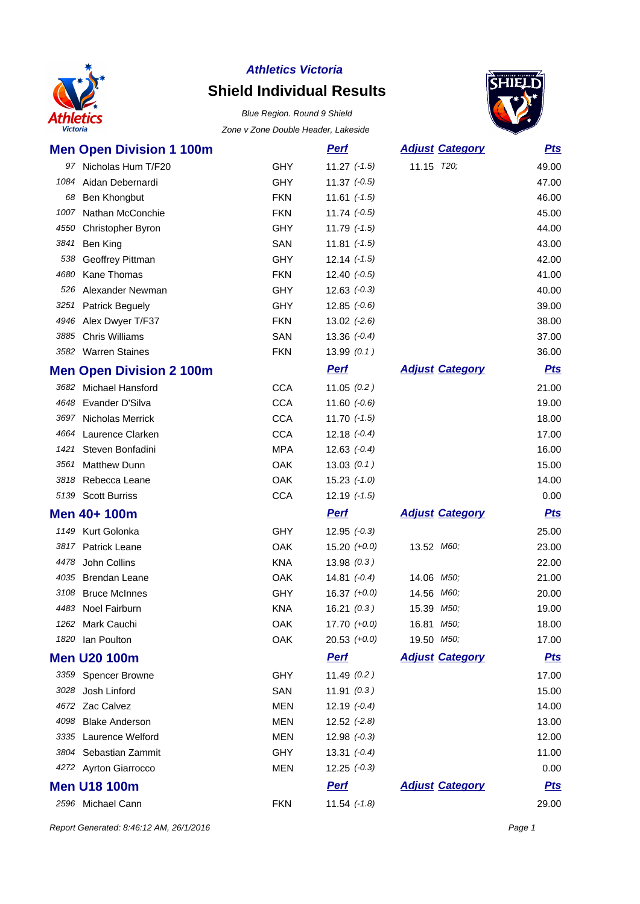

# **Shield Individual Results**

Blue Region. Round 9 Shield Zone v Zone Double Header, Lakeside



|      | <b>Men Open Division 1 100m</b> |            | <b>Perf</b>      | <b>Adjust Category</b> | <u>Pts</u> |
|------|---------------------------------|------------|------------------|------------------------|------------|
|      | 97 Nicholas Hum T/F20           | <b>GHY</b> | $11.27$ $(-1.5)$ | 11.15 T20;             | 49.00      |
| 1084 | Aidan Debernardi                | GHY        | $11.37 (-0.5)$   |                        | 47.00      |
| 68   | <b>Ben Khongbut</b>             | <b>FKN</b> | $11.61$ $(-1.5)$ |                        | 46.00      |
|      | 1007 Nathan McConchie           | <b>FKN</b> | $11.74$ $(-0.5)$ |                        | 45.00      |
| 4550 | Christopher Byron               | GHY        | $11.79$ $(-1.5)$ |                        | 44.00      |
| 3841 | Ben King                        | SAN        | 11.81 $(-1.5)$   |                        | 43.00      |
| 538  | Geoffrey Pittman                | <b>GHY</b> | $12.14$ $(-1.5)$ |                        | 42.00      |
| 4680 | Kane Thomas                     | <b>FKN</b> | $12.40 (-0.5)$   |                        | 41.00      |
|      | 526 Alexander Newman            | <b>GHY</b> | $12.63$ $(-0.3)$ |                        | 40.00      |
| 3251 | <b>Patrick Beguely</b>          | GHY        | $12.85 (-0.6)$   |                        | 39.00      |
|      | 4946 Alex Dwyer T/F37           | <b>FKN</b> | $13.02$ $(-2.6)$ |                        | 38.00      |
| 3885 | <b>Chris Williams</b>           | SAN        | $13.36 (-0.4)$   |                        | 37.00      |
|      | 3582 Warren Staines             | <b>FKN</b> | 13.99(0.1)       |                        | 36.00      |
|      | <b>Men Open Division 2 100m</b> |            | <u>Perf</u>      | <b>Adjust Category</b> | <u>Pts</u> |
|      | 3682 Michael Hansford           | <b>CCA</b> | 11.05(0.2)       |                        | 21.00      |
|      | 4648 Evander D'Silva            | <b>CCA</b> | 11.60 $(-0.6)$   |                        | 19.00      |
|      | 3697 Nicholas Merrick           | <b>CCA</b> | $11.70$ $(-1.5)$ |                        | 18.00      |
|      | 4664 Laurence Clarken           | <b>CCA</b> | $12.18 (-0.4)$   |                        | 17.00      |
| 1421 | Steven Bonfadini                | <b>MPA</b> | 12.63 $(-0.4)$   |                        | 16.00      |
| 3561 | <b>Matthew Dunn</b>             | OAK        | 13.03(0.1)       |                        | 15.00      |
|      | 3818 Rebecca Leane              | OAK        | $15.23$ $(-1.0)$ |                        | 14.00      |
|      | 5139 Scott Burriss              | <b>CCA</b> | $12.19$ $(-1.5)$ |                        | 0.00       |
|      | Men 40+ 100m                    |            | <b>Perf</b>      | <b>Adjust Category</b> | <u>Pts</u> |
|      | 1149 Kurt Golonka               | GHY        | $12.95 (-0.3)$   |                        | 25.00      |
|      | 3817 Patrick Leane              | <b>OAK</b> | $15.20 (+0.0)$   | 13.52 M60;             | 23.00      |
|      | 4478 John Collins               | <b>KNA</b> | 13.98(0.3)       |                        | 22.00      |
|      | 4035 Brendan Leane              | OAK        | 14.81 $(-0.4)$   | 14.06 M50;             | 21.00      |
| 3108 | <b>Bruce McInnes</b>            | GHY        | $16.37$ $(+0.0)$ | 14.56 M60;             | 20.00      |
|      | 4483 Noel Fairburn              | <b>KNA</b> | 16.21(0.3)       | 15.39 M50;             | 19.00      |
|      | 1262 Mark Cauchi                | OAK        | $17.70 (+0.0)$   | 16.81 M50;             | 18.00      |
|      | 1820 Ian Poulton                | OAK        | $20.53$ $(+0.0)$ | 19.50 M50;             | 17.00      |
|      | <b>Men U20 100m</b>             |            | <b>Perf</b>      | <b>Adjust Category</b> | <u>Pts</u> |
|      | 3359 Spencer Browne             | <b>GHY</b> | 11.49(0.2)       |                        | 17.00      |
|      | 3028 Josh Linford               | SAN        | 11.91(0.3)       |                        | 15.00      |
|      | 4672 Zac Calvez                 | <b>MEN</b> | $12.19(-0.4)$    |                        | 14.00      |
|      | 4098 Blake Anderson             | MEN        | $12.52$ $(-2.8)$ |                        | 13.00      |
|      | 3335 Laurence Welford           | <b>MEN</b> | $12.98 (-0.3)$   |                        | 12.00      |
|      | 3804 Sebastian Zammit           | GHY        | $13.31 (-0.4)$   |                        | 11.00      |
|      | 4272 Ayrton Giarrocco           | MEN        | $12.25 (-0.3)$   |                        | 0.00       |
|      | <b>Men U18 100m</b>             |            | <b>Perf</b>      | <b>Adjust Category</b> | <u>Pts</u> |
|      | 2596 Michael Cann               | <b>FKN</b> | $11.54$ $(-1.8)$ |                        | 29.00      |

Report Generated: 8:46:12 AM, 26/1/2016 **Page 1**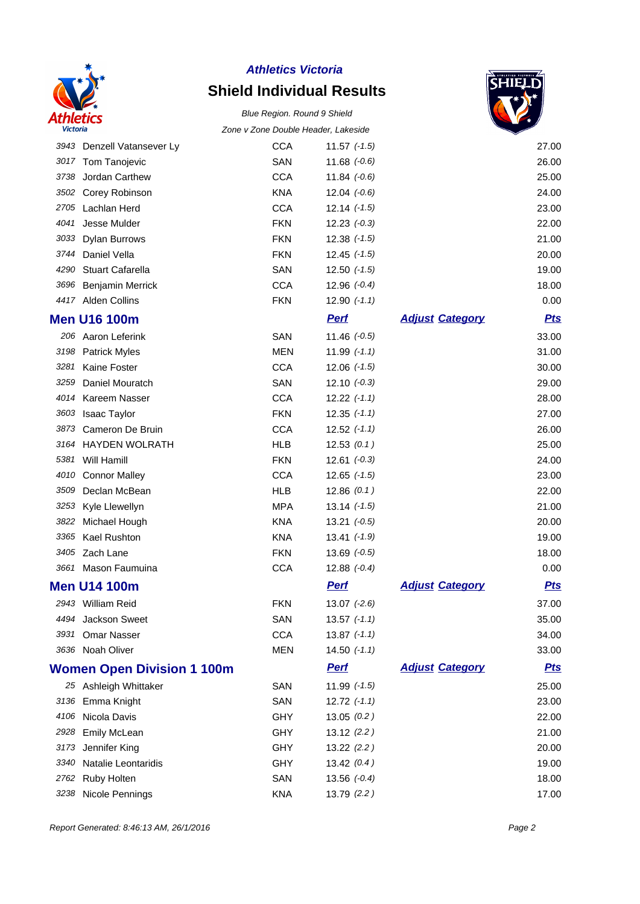

# **Shield Individual Results**



|      |                                   | Zune v Zune Duuble Header, Lakeside |                  |                        | ✓          |
|------|-----------------------------------|-------------------------------------|------------------|------------------------|------------|
|      | 3943 Denzell Vatansever Ly        | <b>CCA</b>                          | 11.57 $(-1.5)$   |                        | 27.00      |
|      | 3017 Tom Tanojevic                | SAN                                 | 11.68 $(-0.6)$   |                        | 26.00      |
| 3738 | Jordan Carthew                    | <b>CCA</b>                          | $11.84$ $(-0.6)$ |                        | 25.00      |
| 3502 | Corey Robinson                    | <b>KNA</b>                          | $12.04$ $(-0.6)$ |                        | 24.00      |
|      | 2705 Lachlan Herd                 | <b>CCA</b>                          | $12.14$ $(-1.5)$ |                        | 23.00      |
| 4041 | Jesse Mulder                      | <b>FKN</b>                          | $12.23 (-0.3)$   |                        | 22.00      |
| 3033 | Dylan Burrows                     | <b>FKN</b>                          | $12.38$ $(-1.5)$ |                        | 21.00      |
| 3744 | Daniel Vella                      | <b>FKN</b>                          | $12.45$ $(-1.5)$ |                        | 20.00      |
| 4290 | <b>Stuart Cafarella</b>           | SAN                                 | $12.50$ $(-1.5)$ |                        | 19.00      |
| 3696 | Benjamin Merrick                  | <b>CCA</b>                          | $12.96 (-0.4)$   |                        | 18.00      |
|      | 4417 Alden Collins                | <b>FKN</b>                          | $12.90$ $(-1.1)$ |                        | 0.00       |
|      | <b>Men U16 100m</b>               |                                     | <b>Perf</b>      | <b>Adjust Category</b> | <b>Pts</b> |
|      | 206 Aaron Leferink                | SAN                                 | $11.46$ $(-0.5)$ |                        | 33.00      |
|      | 3198 Patrick Myles                | <b>MEN</b>                          | $11.99$ $(-1.1)$ |                        | 31.00      |
| 3281 | Kaine Foster                      | <b>CCA</b>                          | $12.06$ $(-1.5)$ |                        | 30.00      |
| 3259 | Daniel Mouratch                   | SAN                                 | $12.10 (-0.3)$   |                        | 29.00      |
|      | 4014 Kareem Nasser                | <b>CCA</b>                          | $12.22$ $(-1.1)$ |                        | 28.00      |
| 3603 | <b>Isaac Taylor</b>               | <b>FKN</b>                          | $12.35$ $(-1.1)$ |                        | 27.00      |
| 3873 | Cameron De Bruin                  | <b>CCA</b>                          | $12.52$ $(-1.1)$ |                        | 26.00      |
|      | 3164 HAYDEN WOLRATH               | <b>HLB</b>                          | 12.53(0.1)       |                        | 25.00      |
| 5381 | Will Hamill                       | <b>FKN</b>                          | $12.61 (-0.3)$   |                        | 24.00      |
| 4010 | <b>Connor Malley</b>              | <b>CCA</b>                          | $12.65$ $(-1.5)$ |                        | 23.00      |
| 3509 | Declan McBean                     | <b>HLB</b>                          | 12.86(0.1)       |                        | 22.00      |
| 3253 | Kyle Llewellyn                    | <b>MPA</b>                          | $13.14$ $(-1.5)$ |                        | 21.00      |
| 3822 | Michael Hough                     | <b>KNA</b>                          | $13.21 (-0.5)$   |                        | 20.00      |
| 3365 | Kael Rushton                      | <b>KNA</b>                          | $13.41$ $(-1.9)$ |                        | 19.00      |
|      | 3405 Zach Lane                    | <b>FKN</b>                          | $13.69$ $(-0.5)$ |                        | 18.00      |
|      | 3661 Mason Faumuina               | <b>CCA</b>                          | $12.88$ $(-0.4)$ |                        | 0.00       |
|      | <b>Men U14 100m</b>               |                                     | <b>Pert</b>      | <b>Adjust Category</b> | <u>Pts</u> |
|      | 2943 William Reid                 | <b>FKN</b>                          | $13.07$ $(-2.6)$ |                        | 37.00      |
| 4494 | Jackson Sweet                     | SAN                                 | $13.57$ $(-1.1)$ |                        | 35.00      |
| 3931 | <b>Omar Nasser</b>                | <b>CCA</b>                          | $13.87$ $(-1.1)$ |                        | 34.00      |
|      | 3636 Noah Oliver                  | <b>MEN</b>                          | $14.50$ $(-1.1)$ |                        | 33.00      |
|      | <b>Women Open Division 1 100m</b> |                                     | <u>Perf</u>      | <b>Adjust Category</b> | <u>Pts</u> |
|      | 25 Ashleigh Whittaker             | SAN                                 | $11.99$ $(-1.5)$ |                        | 25.00      |
|      | 3136 Emma Knight                  | SAN                                 | $12.72$ $(-1.1)$ |                        | 23.00      |
|      | 4106 Nicola Davis                 | GHY                                 | 13.05(0.2)       |                        | 22.00      |
| 2928 | <b>Emily McLean</b>               | <b>GHY</b>                          | 13.12(2.2)       |                        | 21.00      |
| 3173 | Jennifer King                     | GHY                                 | 13.22(2.2)       |                        | 20.00      |
| 3340 | Natalie Leontaridis               | GHY                                 | 13.42(0.4)       |                        | 19.00      |
| 2762 | Ruby Holten                       | SAN                                 | $13.56$ $(-0.4)$ |                        | 18.00      |
| 3238 | Nicole Pennings                   | <b>KNA</b>                          | 13.79 (2.2)      |                        | 17.00      |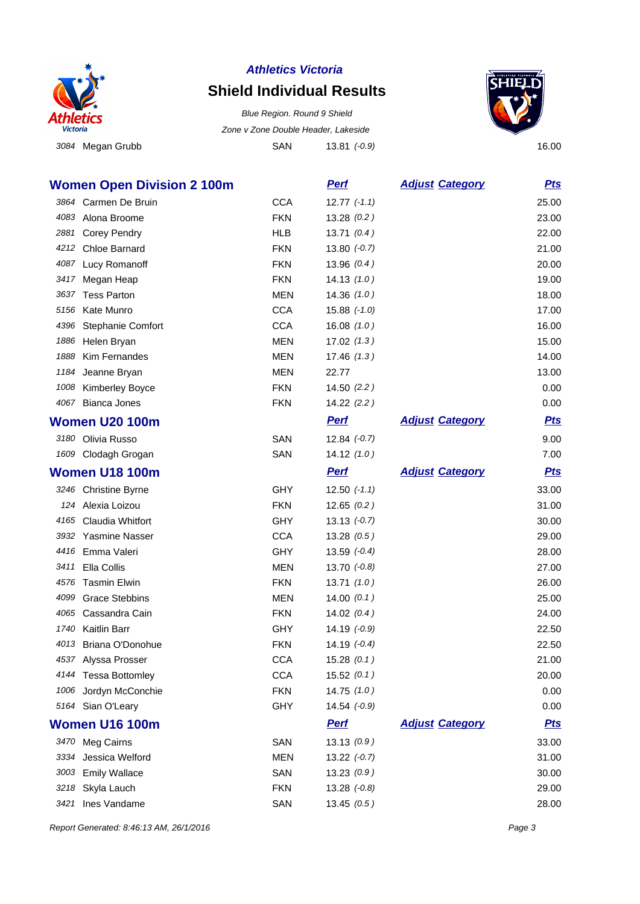

# **Shield Individual Results**

3084 Megan Grubb **SAN** 13.81 (-0.9) 16.00 Blue Region. Round 9 Shield Zone v Zone Double Header, Lakeside



|      | <b>Women Open Division 2 100m</b> |            | <u>Perf</u>      | <b>Adjust Category</b> | <u>Pts</u> |
|------|-----------------------------------|------------|------------------|------------------------|------------|
|      | 3864 Carmen De Bruin              | <b>CCA</b> | $12.77$ $(-1.1)$ |                        | 25.00      |
|      | 4083 Alona Broome                 | <b>FKN</b> | 13.28(0.2)       |                        | 23.00      |
| 2881 | <b>Corey Pendry</b>               | <b>HLB</b> | 13.71(0.4)       |                        | 22.00      |
| 4212 | Chloe Barnard                     | <b>FKN</b> | $13.80 (-0.7)$   |                        | 21.00      |
| 4087 | Lucy Romanoff                     | <b>FKN</b> | 13.96(0.4)       |                        | 20.00      |
| 3417 | Megan Heap                        | <b>FKN</b> | 14.13(1.0)       |                        | 19.00      |
| 3637 | <b>Tess Parton</b>                | <b>MEN</b> | 14.36(1.0)       |                        | 18.00      |
| 5156 | Kate Munro                        | <b>CCA</b> | $15.88$ $(-1.0)$ |                        | 17.00      |
| 4396 | Stephanie Comfort                 | <b>CCA</b> | 16.08(1.0)       |                        | 16.00      |
| 1886 | Helen Bryan                       | <b>MEN</b> | 17.02(1.3)       |                        | 15.00      |
| 1888 | Kim Fernandes                     | <b>MEN</b> | 17.46(1.3)       |                        | 14.00      |
| 1184 | Jeanne Bryan                      | MEN        | 22.77            |                        | 13.00      |
| 1008 | <b>Kimberley Boyce</b>            | <b>FKN</b> | 14.50(2.2)       |                        | 0.00       |
| 4067 | Bianca Jones                      | <b>FKN</b> | 14.22(2.2)       |                        | 0.00       |
|      | <b>Women U20 100m</b>             |            | <b>Perf</b>      | <b>Adjust Category</b> | <u>Pts</u> |
|      | 3180 Olivia Russo                 | SAN        | $12.84 (-0.7)$   |                        | 9.00       |
|      | 1609 Clodagh Grogan               | SAN        | 14.12(1.0)       |                        | 7.00       |
|      | <b>Women U18 100m</b>             |            | <b>Perf</b>      | <b>Adjust Category</b> | <u>Pts</u> |
|      | 3246 Christine Byrne              | GHY        | $12.50$ $(-1.1)$ |                        | 33.00      |
|      | 124 Alexia Loizou                 | <b>FKN</b> | 12.65(0.2)       |                        | 31.00      |
| 4165 | Claudia Whitfort                  | GHY        | $13.13 (-0.7)$   |                        | 30.00      |
|      | 3932 Yasmine Nasser               | <b>CCA</b> | 13.28(0.5)       |                        | 29.00      |
| 4416 | Emma Valeri                       | <b>GHY</b> | 13.59 $(-0.4)$   |                        | 28.00      |
| 3411 | Ella Collis                       | <b>MEN</b> | $13.70 (-0.8)$   |                        | 27.00      |
| 4576 | <b>Tasmin Elwin</b>               | <b>FKN</b> | 13.71(1.0)       |                        | 26.00      |
| 4099 | <b>Grace Stebbins</b>             | MEN        | 14.00(0.1)       |                        | 25.00      |
| 4065 | Cassandra Cain                    | <b>FKN</b> | 14.02(0.4)       |                        | 24.00      |
| 1740 | <b>Kaitlin Barr</b>               | GHY        | $14.19(-0.9)$    |                        | 22.50      |
| 4013 | Briana O'Donohue                  | <b>FKN</b> | $14.19 (-0.4)$   |                        | 22.50      |
|      | 4537 Alyssa Prosser               | <b>CCA</b> | 15.28(0.1)       |                        | 21.00      |
|      | 4144 Tessa Bottomley              | <b>CCA</b> | 15.52(0.1)       |                        | 20.00      |
|      | 1006 Jordyn McConchie             | <b>FKN</b> | 14.75(1.0)       |                        | 0.00       |
|      | 5164 Sian O'Leary                 | <b>GHY</b> | $14.54$ $(-0.9)$ |                        | 0.00       |
|      | <b>Women U16 100m</b>             |            | <b>Perf</b>      | <b>Adjust Category</b> | <u>Pts</u> |
|      | 3470 Meg Cairns                   | SAN        | 13.13(0.9)       |                        | 33.00      |
| 3334 | Jessica Welford                   | <b>MEN</b> | $13.22 (-0.7)$   |                        | 31.00      |
| 3003 | <b>Emily Wallace</b>              | SAN        | 13.23(0.9)       |                        | 30.00      |
| 3218 | Skyla Lauch                       | <b>FKN</b> | $13.28$ $(-0.8)$ |                        | 29.00      |
| 3421 | Ines Vandame                      | SAN        | 13.45(0.5)       |                        | 28.00      |

Report Generated: 8:46:13 AM, 26/1/2016 **Page 3**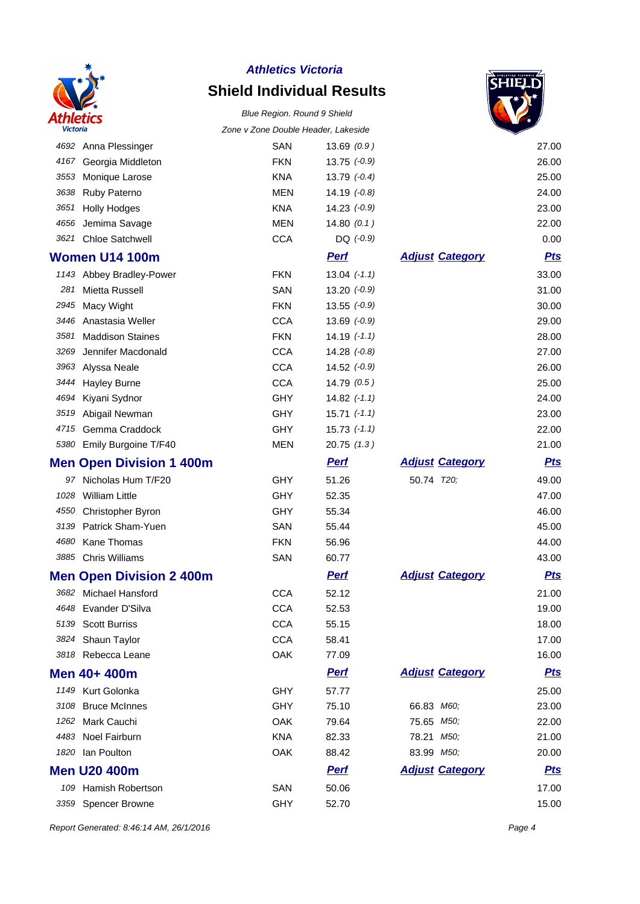

# **Shield Individual Results**





| <b>Victoria</b> |                                 | Zone v Zone Double Header, Lakeside |                  |                        |            |
|-----------------|---------------------------------|-------------------------------------|------------------|------------------------|------------|
|                 | 4692 Anna Plessinger            | <b>SAN</b>                          | 13.69(0.9)       |                        | 27.00      |
| 4167            | Georgia Middleton               | <b>FKN</b>                          | $13.75$ $(-0.9)$ |                        | 26.00      |
| 3553            | Monique Larose                  | <b>KNA</b>                          | $13.79 (-0.4)$   |                        | 25.00      |
| 3638            | Ruby Paterno                    | <b>MEN</b>                          | $14.19(-0.8)$    |                        | 24.00      |
| 3651            | <b>Holly Hodges</b>             | <b>KNA</b>                          | $14.23$ $(-0.9)$ |                        | 23.00      |
| 4656            | Jemima Savage                   | <b>MEN</b>                          | 14.80(0.1)       |                        | 22.00      |
| 3621            | <b>Chloe Satchwell</b>          | <b>CCA</b>                          | $DQ$ (-0.9)      |                        | 0.00       |
|                 | <b>Women U14 100m</b>           |                                     | <b>Perf</b>      | <b>Adjust Category</b> | <u>Pts</u> |
|                 | 1143 Abbey Bradley-Power        | <b>FKN</b>                          | $13.04$ $(-1.1)$ |                        | 33.00      |
| 281             | Mietta Russell                  | SAN                                 | $13.20 (-0.9)$   |                        | 31.00      |
| 2945            | Macy Wight                      | <b>FKN</b>                          | $13.55 (-0.9)$   |                        | 30.00      |
| 3446            | Anastasia Weller                | <b>CCA</b>                          | $13.69$ $(-0.9)$ |                        | 29.00      |
| 3581            | <b>Maddison Staines</b>         | <b>FKN</b>                          | $14.19(-1.1)$    |                        | 28.00      |
| 3269            | Jennifer Macdonald              | <b>CCA</b>                          | $14.28$ $(-0.8)$ |                        | 27.00      |
| 3963            | Alyssa Neale                    | <b>CCA</b>                          | $14.52$ $(-0.9)$ |                        | 26.00      |
| 3444            | <b>Hayley Burne</b>             | <b>CCA</b>                          | 14.79(0.5)       |                        | 25.00      |
| 4694            | Kiyani Sydnor                   | GHY                                 | $14.82$ $(-1.1)$ |                        | 24.00      |
| 3519            | Abigail Newman                  | <b>GHY</b>                          | $15.71$ $(-1.1)$ |                        | 23.00      |
| 4715            | Gemma Craddock                  | <b>GHY</b>                          | $15.73$ $(-1.1)$ |                        | 22.00      |
| 5380            | Emily Burgoine T/F40            | <b>MEN</b>                          | 20.75(1.3)       |                        | 21.00      |
|                 | <b>Men Open Division 1 400m</b> |                                     | <b>Perf</b>      | <b>Adjust Category</b> | <b>Pts</b> |
| 97              | Nicholas Hum T/F20              | <b>GHY</b>                          | 51.26            | 50.74 T20;             | 49.00      |
| 1028            | <b>William Little</b>           | <b>GHY</b>                          | 52.35            |                        | 47.00      |
| 4550            | Christopher Byron               | GHY                                 | 55.34            |                        | 46.00      |
| 3139            | Patrick Sham-Yuen               | SAN                                 | 55.44            |                        | 45.00      |
| 4680            | Kane Thomas                     | <b>FKN</b>                          | 56.96            |                        | 44.00      |
| 3885            | <b>Chris Williams</b>           | SAN                                 | 60.77            |                        | 43.00      |
|                 | <b>Men Open Division 2 400m</b> |                                     | <b>Perf</b>      | <b>Adjust Category</b> | <b>Pts</b> |
|                 | 3682 Michael Hansford           | <b>CCA</b>                          | 52.12            |                        | 21.00      |
|                 | 4648 Evander D'Silva            | <b>CCA</b>                          | 52.53            |                        | 19.00      |
| 5139            | <b>Scott Burriss</b>            | <b>CCA</b>                          | 55.15            |                        | 18.00      |
|                 | 3824 Shaun Taylor               | <b>CCA</b>                          | 58.41            |                        | 17.00      |
|                 | 3818 Rebecca Leane              | OAK                                 | 77.09            |                        | 16.00      |
|                 | Men 40+ 400m                    |                                     | <b>Perf</b>      | <b>Adjust Category</b> | <u>Pts</u> |
|                 | 1149 Kurt Golonka               | GHY                                 | 57.77            |                        | 25.00      |
| 3108            | <b>Bruce McInnes</b>            | <b>GHY</b>                          | 75.10            | 66.83 M60;             | 23.00      |
| 1262            | Mark Cauchi                     | OAK                                 | 79.64            | 75.65 M50;             | 22.00      |
| 4483            | Noel Fairburn                   | <b>KNA</b>                          | 82.33            | 78.21 M50;             | 21.00      |
| 1820            | Ian Poulton                     | OAK                                 | 88.42            | 83.99 M50;             | 20.00      |
|                 | <b>Men U20 400m</b>             |                                     | <b>Perf</b>      | <b>Adjust Category</b> | <b>Pts</b> |
| 109             | Hamish Robertson                | SAN                                 | 50.06            |                        | 17.00      |
| 3359            | Spencer Browne                  | <b>GHY</b>                          | 52.70            |                        | 15.00      |

Report Generated: 8:46:14 AM, 26/1/2016 **Page 4**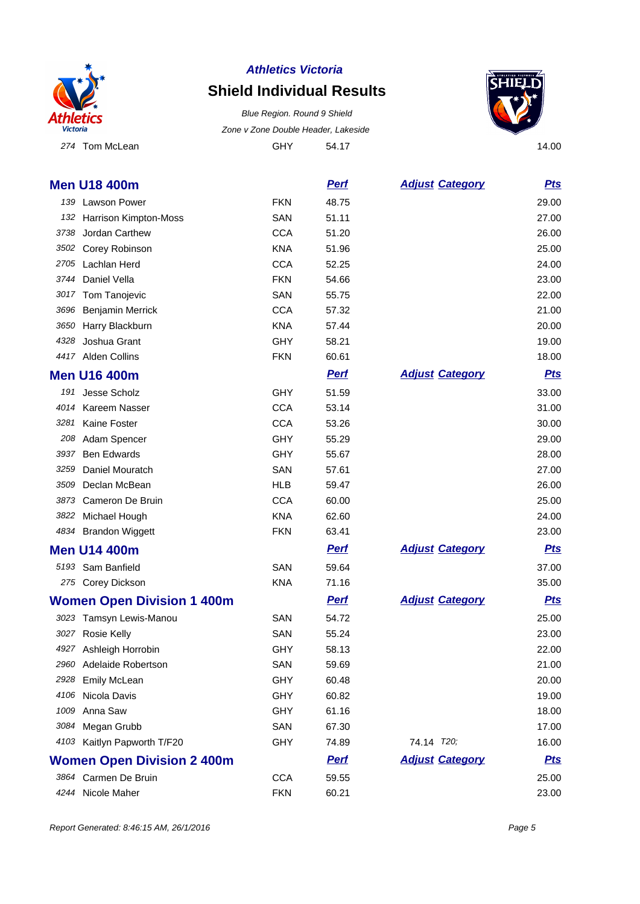

# **Shield Individual Results**

274 Tom McLean 64.17 64.17 64.17 54.17 54.17 54.17 14.00 Blue Region. Round 9 Shield Zone v Zone Double Header, Lakeside



|      | <b>Men U18 400m</b>               |            | <b>Pert</b> | <b>Adjust Category</b> | <u>Pts</u> |
|------|-----------------------------------|------------|-------------|------------------------|------------|
|      | 139 Lawson Power                  | <b>FKN</b> | 48.75       |                        | 29.00      |
|      | 132 Harrison Kimpton-Moss         | SAN        | 51.11       |                        | 27.00      |
| 3738 | Jordan Carthew                    | <b>CCA</b> | 51.20       |                        | 26.00      |
| 3502 | Corey Robinson                    | <b>KNA</b> | 51.96       |                        | 25.00      |
|      | 2705 Lachlan Herd                 | <b>CCA</b> | 52.25       |                        | 24.00      |
| 3744 | Daniel Vella                      | <b>FKN</b> | 54.66       |                        | 23.00      |
| 3017 | Tom Tanojevic                     | SAN        | 55.75       |                        | 22.00      |
| 3696 | <b>Benjamin Merrick</b>           | <b>CCA</b> | 57.32       |                        | 21.00      |
| 3650 | Harry Blackburn                   | <b>KNA</b> | 57.44       |                        | 20.00      |
| 4328 | Joshua Grant                      | <b>GHY</b> | 58.21       |                        | 19.00      |
|      | 4417 Alden Collins                | <b>FKN</b> | 60.61       |                        | 18.00      |
|      | <b>Men U16 400m</b>               |            | <b>Perf</b> | <b>Adjust Category</b> | <b>Pts</b> |
|      | 191 Jesse Scholz                  | <b>GHY</b> | 51.59       |                        | 33.00      |
| 4014 | Kareem Nasser                     | <b>CCA</b> | 53.14       |                        | 31.00      |
| 3281 | Kaine Foster                      | <b>CCA</b> | 53.26       |                        | 30.00      |
| 208  | Adam Spencer                      | <b>GHY</b> | 55.29       |                        | 29.00      |
| 3937 | <b>Ben Edwards</b>                | <b>GHY</b> | 55.67       |                        | 28.00      |
| 3259 | Daniel Mouratch                   | SAN        | 57.61       |                        | 27.00      |
| 3509 | Declan McBean                     | <b>HLB</b> | 59.47       |                        | 26.00      |
| 3873 | Cameron De Bruin                  | <b>CCA</b> | 60.00       |                        | 25.00      |
|      | 3822 Michael Hough                | <b>KNA</b> | 62.60       |                        | 24.00      |
|      | 4834 Brandon Wiggett              | <b>FKN</b> | 63.41       |                        | 23.00      |
|      | <b>Men U14 400m</b>               |            | <b>Perf</b> | <b>Adjust Category</b> | <b>Pts</b> |
|      | 5193 Sam Banfield                 | SAN        | 59.64       |                        | 37.00      |
|      | 275 Corey Dickson                 | <b>KNA</b> | 71.16       |                        | 35.00      |
|      | <b>Women Open Division 1 400m</b> |            | <b>Pert</b> | <b>Adjust Category</b> | <b>Pts</b> |
|      | 3023 Tamsyn Lewis-Manou           | SAN        | 54.72       |                        | 25.00      |
| 3027 | <b>Rosie Kelly</b>                | SAN        | 55.24       |                        | 23.00      |
|      | 4927 Ashleigh Horrobin            | GHY        | 58.13       |                        | 22.00      |
| 2960 | Adelaide Robertson                | SAN        | 59.69       |                        | 21.00      |
| 2928 | Emily McLean                      | <b>GHY</b> | 60.48       |                        | 20.00      |
| 4106 | Nicola Davis                      | <b>GHY</b> | 60.82       |                        | 19.00      |
| 1009 | Anna Saw                          | <b>GHY</b> | 61.16       |                        | 18.00      |
|      | 3084 Megan Grubb                  | SAN        | 67.30       |                        | 17.00      |
|      | 4103 Kaitlyn Papworth T/F20       | GHY        | 74.89       | 74.14 T20;             | 16.00      |
|      | <b>Women Open Division 2 400m</b> |            | <b>Perf</b> | <b>Adjust Category</b> | <b>Pts</b> |
|      | 3864 Carmen De Bruin              | <b>CCA</b> | 59.55       |                        | 25.00      |
|      | 4244 Nicole Maher                 | <b>FKN</b> | 60.21       |                        | 23.00      |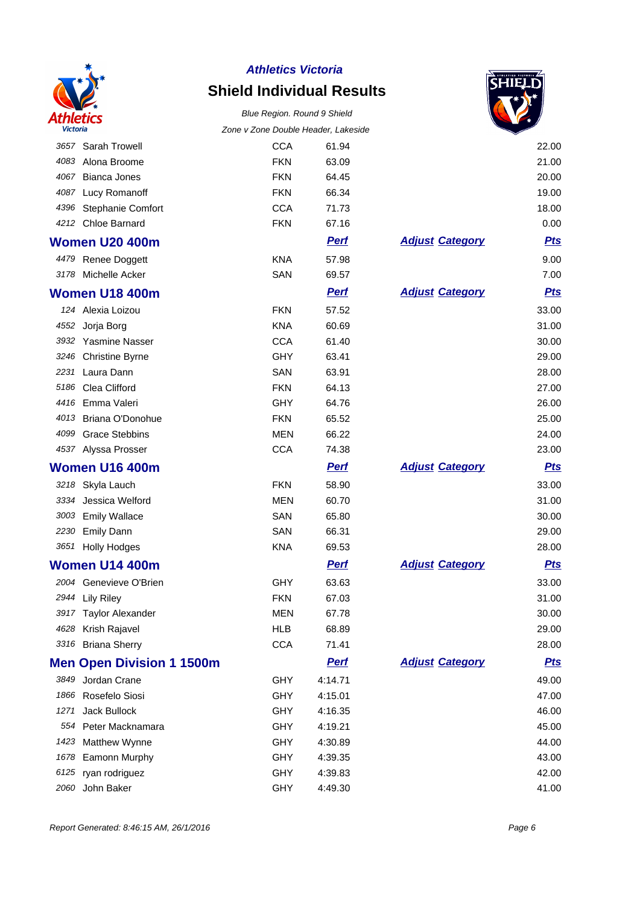

# **Shield Individual Results**



|      |                                  | Zone v Zone Double Header, Lakeside |             |                        |            |
|------|----------------------------------|-------------------------------------|-------------|------------------------|------------|
|      | 3657 Sarah Trowell               | <b>CCA</b>                          | 61.94       |                        | 22.00      |
|      | 4083 Alona Broome                | <b>FKN</b>                          | 63.09       |                        | 21.00      |
| 4067 | <b>Bianca Jones</b>              | <b>FKN</b>                          | 64.45       |                        | 20.00      |
| 4087 | Lucy Romanoff                    | <b>FKN</b>                          | 66.34       |                        | 19.00      |
| 4396 | Stephanie Comfort                | <b>CCA</b>                          | 71.73       |                        | 18.00      |
| 4212 | <b>Chloe Barnard</b>             | <b>FKN</b>                          | 67.16       |                        | 0.00       |
|      | Women U20 400m                   |                                     | <b>Pert</b> | <b>Adjust Category</b> | <b>Pts</b> |
|      | 4479 Renee Doggett               | <b>KNA</b>                          | 57.98       |                        | 9.00       |
|      | 3178 Michelle Acker              | SAN                                 | 69.57       |                        | 7.00       |
|      | <b>Women U18 400m</b>            |                                     | <b>Pert</b> | <b>Adjust Category</b> | <b>Pts</b> |
|      | 124 Alexia Loizou                | <b>FKN</b>                          | 57.52       |                        | 33.00      |
|      | 4552 Jorja Borg                  | <b>KNA</b>                          | 60.69       |                        | 31.00      |
|      | 3932 Yasmine Nasser              | <b>CCA</b>                          | 61.40       |                        | 30.00      |
|      | 3246 Christine Byrne             | GHY                                 | 63.41       |                        | 29.00      |
| 2231 | Laura Dann                       | SAN                                 | 63.91       |                        | 28.00      |
| 5186 | Clea Clifford                    | <b>FKN</b>                          | 64.13       |                        | 27.00      |
|      | 4416 Emma Valeri                 | GHY                                 | 64.76       |                        | 26.00      |
|      | 4013 Briana O'Donohue            | <b>FKN</b>                          | 65.52       |                        | 25.00      |
| 4099 | <b>Grace Stebbins</b>            | <b>MEN</b>                          | 66.22       |                        | 24.00      |
|      | 4537 Alyssa Prosser              | <b>CCA</b>                          | 74.38       |                        | 23.00      |
|      | Women U16 400m                   |                                     | <b>Pert</b> | <b>Adjust Category</b> | <b>Pts</b> |
|      | 3218 Skyla Lauch                 | <b>FKN</b>                          | 58.90       |                        | 33.00      |
|      | 3334 Jessica Welford             | <b>MEN</b>                          | 60.70       |                        | 31.00      |
| 3003 | <b>Emily Wallace</b>             | SAN                                 | 65.80       |                        | 30.00      |
| 2230 | <b>Emily Dann</b>                | SAN                                 | 66.31       |                        | 29.00      |
|      | 3651 Holly Hodges                | <b>KNA</b>                          | 69.53       |                        | 28.00      |
|      | Women U14 400m                   |                                     | <b>Perf</b> | <b>Adjust Category</b> | <b>Pts</b> |
|      | 2004 Genevieve O'Brien           | GHY                                 | 63.63       |                        | 33.00      |
|      | 2944 Lily Riley                  | <b>FKN</b>                          | 67.03       |                        | 31.00      |
|      | 3917 Taylor Alexander            | <b>MEN</b>                          | 67.78       |                        | 30.00      |
| 4628 | Krish Rajavel                    | <b>HLB</b>                          | 68.89       |                        | 29.00      |
|      | 3316 Briana Sherry               | <b>CCA</b>                          | 71.41       |                        | 28.00      |
|      | <b>Men Open Division 1 1500m</b> |                                     | <u>Perf</u> | <b>Adjust Category</b> | <u>Pts</u> |
| 3849 | Jordan Crane                     | <b>GHY</b>                          | 4:14.71     |                        | 49.00      |
| 1866 | Rosefelo Siosi                   | GHY                                 | 4:15.01     |                        | 47.00      |
| 1271 | Jack Bullock                     | GHY                                 | 4:16.35     |                        | 46.00      |
| 554  | Peter Macknamara                 | <b>GHY</b>                          | 4:19.21     |                        | 45.00      |
| 1423 | Matthew Wynne                    | GHY                                 | 4:30.89     |                        | 44.00      |
| 1678 | Eamonn Murphy                    | <b>GHY</b>                          | 4:39.35     |                        | 43.00      |
| 6125 | ryan rodriguez                   | GHY                                 | 4:39.83     |                        | 42.00      |
| 2060 | John Baker                       | GHY                                 | 4:49.30     |                        | 41.00      |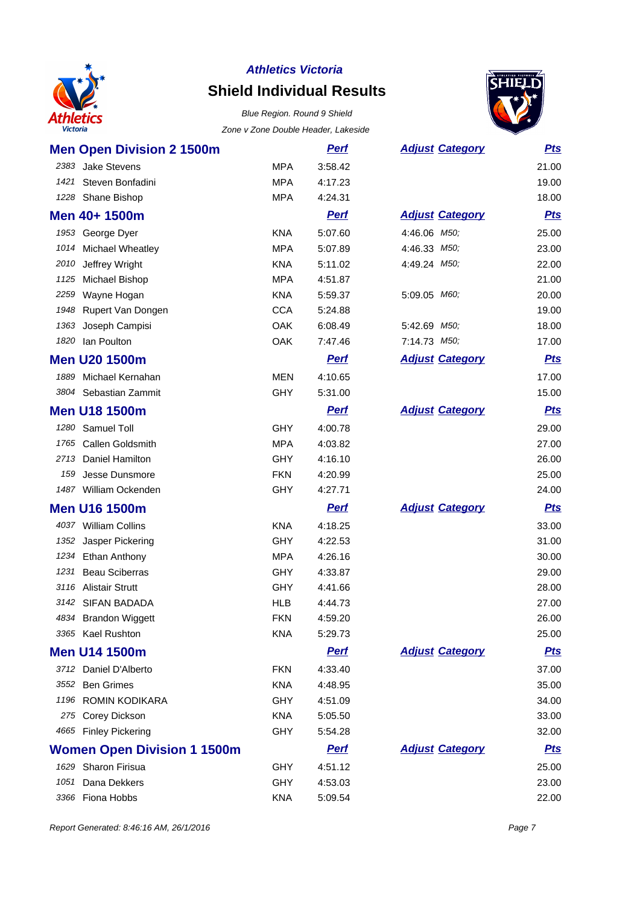

# **Shield Individual Results**

#### Blue Region. Round 9 Shield Zone v Zone Double Header, Lakeside



| <b>Men Open Division 2 1500m</b>   |            | <b>Perf</b> | <b>Adjust Category</b> | <b>Pts</b> |
|------------------------------------|------------|-------------|------------------------|------------|
| 2383<br><b>Jake Stevens</b>        | <b>MPA</b> | 3:58.42     |                        | 21.00      |
| Steven Bonfadini<br>1421           | <b>MPA</b> | 4:17.23     |                        | 19.00      |
| Shane Bishop<br>1228               | <b>MPA</b> | 4:24.31     |                        | 18.00      |
| Men 40+ 1500m                      |            | <u>Perf</u> | <b>Adjust Category</b> | <b>Pts</b> |
| 1953 George Dyer                   | <b>KNA</b> | 5:07.60     | 4:46.06 M50;           | 25.00      |
| 1014<br>Michael Wheatley           | <b>MPA</b> | 5:07.89     | 4:46.33 M50;           | 23.00      |
| 2010<br>Jeffrey Wright             | <b>KNA</b> | 5:11.02     | 4:49.24 M50;           | 22.00      |
| 1125<br>Michael Bishop             | <b>MPA</b> | 4:51.87     |                        | 21.00      |
| Wayne Hogan<br>2259                | <b>KNA</b> | 5:59.37     | 5:09.05 M60;           | 20.00      |
| 1948 Rupert Van Dongen             | <b>CCA</b> | 5:24.88     |                        | 19.00      |
| Joseph Campisi<br>1363             | <b>OAK</b> | 6:08.49     | 5:42.69 M50;           | 18.00      |
| lan Poulton<br>1820                | <b>OAK</b> | 7:47.46     | 7:14.73 M50;           | 17.00      |
| <b>Men U20 1500m</b>               |            | <u>Perf</u> | <b>Adjust Category</b> | <b>Pts</b> |
| 1889<br>Michael Kernahan           | <b>MEN</b> | 4:10.65     |                        | 17.00      |
| 3804 Sebastian Zammit              | <b>GHY</b> | 5:31.00     |                        | 15.00      |
| <b>Men U18 1500m</b>               |            | <u>Perf</u> | <b>Adjust Category</b> | <b>Pts</b> |
| 1280<br>Samuel Toll                | <b>GHY</b> | 4:00.78     |                        | 29.00      |
| <b>Callen Goldsmith</b><br>1765    | <b>MPA</b> | 4:03.82     |                        | 27.00      |
| Daniel Hamilton<br>2713            | <b>GHY</b> | 4:16.10     |                        | 26.00      |
| Jesse Dunsmore<br>159              | <b>FKN</b> | 4:20.99     |                        | 25.00      |
| 1487 William Ockenden              | <b>GHY</b> | 4:27.71     |                        | 24.00      |
| <b>Men U16 1500m</b>               |            | <b>Pert</b> | <b>Adjust Category</b> | <b>Pts</b> |
| 4037 William Collins               | <b>KNA</b> | 4:18.25     |                        | 33.00      |
| 1352 Jasper Pickering              | <b>GHY</b> | 4:22.53     |                        | 31.00      |
| 1234<br>Ethan Anthony              | <b>MPA</b> | 4:26.16     |                        | 30.00      |
| <b>Beau Sciberras</b><br>1231      | <b>GHY</b> | 4:33.87     |                        | 29.00      |
| 3116 Alistair Strutt               | <b>GHY</b> | 4:41.66     |                        | 28.00      |
| 3142 SIFAN BADADA                  | <b>HLB</b> | 4:44.73     |                        | 27.00      |
| 4834 Brandon Wiggett               | <b>FKN</b> | 4:59.20     |                        | 26.00      |
| 3365 Kael Rushton                  | KNA        | 5:29.73     |                        | 25.00      |
| <b>Men U14 1500m</b>               |            | <b>Perf</b> | <b>Adjust Category</b> | <u>Pts</u> |
| 3712 Daniel D'Alberto              | <b>FKN</b> | 4:33.40     |                        | 37.00      |
| 3552 Ben Grimes                    | <b>KNA</b> | 4:48.95     |                        | 35.00      |
| 1196 ROMIN KODIKARA                | <b>GHY</b> | 4:51.09     |                        | 34.00      |
| 275 Corey Dickson                  | <b>KNA</b> | 5:05.50     |                        | 33.00      |
| 4665 Finley Pickering              | <b>GHY</b> | 5:54.28     |                        | 32.00      |
| <b>Women Open Division 1 1500m</b> |            | <b>Perf</b> | <b>Adjust Category</b> | <u>Pts</u> |
| 1629 Sharon Firisua                | <b>GHY</b> | 4:51.12     |                        | 25.00      |
| 1051 Dana Dekkers                  | <b>GHY</b> | 4:53.03     |                        | 23.00      |

Fiona Hobbs KNA 5:09.54 22.00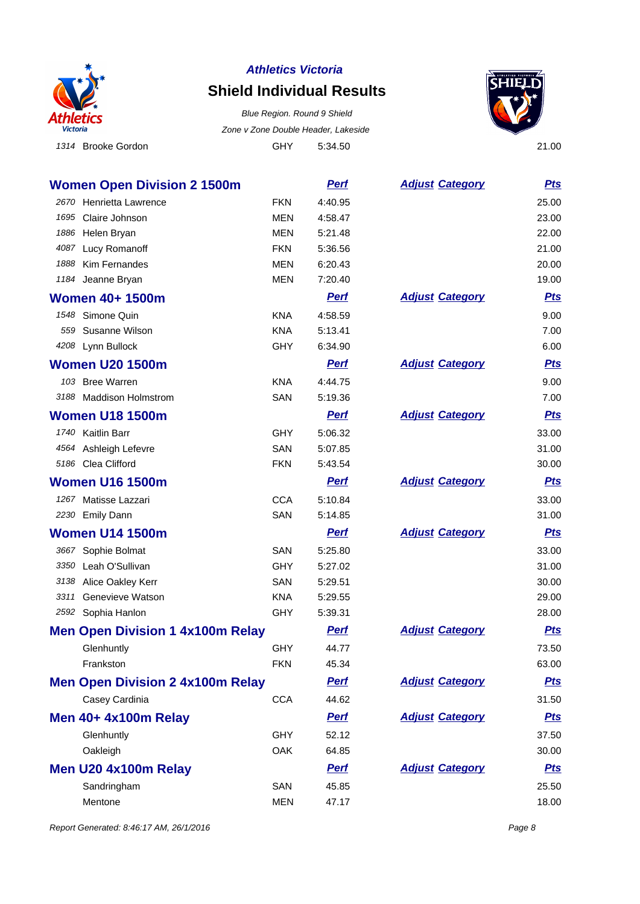

### **Shield Individual Results**

1314 Brooke Gordon GHY 5:34.50 21.00 Blue Region. Round 9 Shield Zone v Zone Double Header, Lakeside



**Women Open Division 2 1500m Perf Perf Adjust** Category **Pts** 2670 Henrietta Lawrence FKN 4:40.95 25.00 1695 Claire Johnson MEN 4:58.47 23.00 1886 Helen Bryan MEN 5:21.48 22.00 4087 Lucy Romanoff FKN 5:36.56 21.00 1888 Kim Fernandes MEN 6:20.43 20.00 1184 Jeanne Bryan 19.00 19.00 MEN 7:20.40 19.00 19.00 19.00 19.00 19.00 19.00 19.00 19.00 19.00 19.00 19.00 19 **Women 40+ 1500m** *Perf**Perf**Adjust**Category**Pts* 1548 Simone Quin KNA 4:58.59 9.00 559 Susanne Wilson KNA 5:13.41 7.00 4208 Lynn Bullock GHY 6:34.90 6.00 **Women U20 1500m** *Perf**Perf**Adjust**Category**Pts* 103 Bree Warren KNA 4:44.75 9.00 3188 Maddison Holmstrom SAN 5:19.36 7.00 **Women U18 1500m** *Perf**Perf**Adjust**Category**Pts* 1740 Kaitlin Barr GHY 5:06.32 33.00 4564 Ashleigh Lefevre **SAN** 5:07.85 31.00 5186 Clea Clifford FKN 5:43.54 30.00 **Women U16 1500m Perf Adjust Category Pts** 1267 Matisse Lazzari CCA 5:10.84 33.00 2230 Emily Dann San San Strategy SAN 5:14.85 31.00 **Women U14 1500m** *Perf**Perf**Adjust**Category**Pts* 3667 Sophie Bolmat 33.00 SAN 5:25.80 33.00 3350 Leah O'Sullivan GHY 5:27.02 31.00 3138 Alice Oakley Kerr SAN 5:29.51 30.00 3311 Genevieve Watson KNA 5:29.55 29.00 2592 Sophia Hanlon GHY 5:39.31 28.00 **Men Open Division 1 4x100m Relay Perf Adjust** Category **Pts** Glenhuntly GHY 44.77 73.50 Frankston FKN 45.34 63.00 **Men Open Division 2 4x100m Relay Perf Adjust** Category **Pts** Casey Cardinia CCA 44.62 31.50 **Men 40+ 4x100m Relay Perf Perf Adjust Category Pts** Glenhuntly GHY 52.12 37.50 Oakleigh OAK 64.85 30.00 **Men U20 4x100m Relay Perf Perf Adjust Category Pts** Sandringham 25.50 25.50 25.50 25.50 25.50 25.50 25.50 25.50 25.50 25.50 25.50 25.50 25.50 25.50 25.50 25.50 25

Mentone 18.00 and 18.00 MEN 47.17 18.00 MEN 47.17 18.00

Report Generated: 8:46:17 AM, 26/1/2016 **Page 8**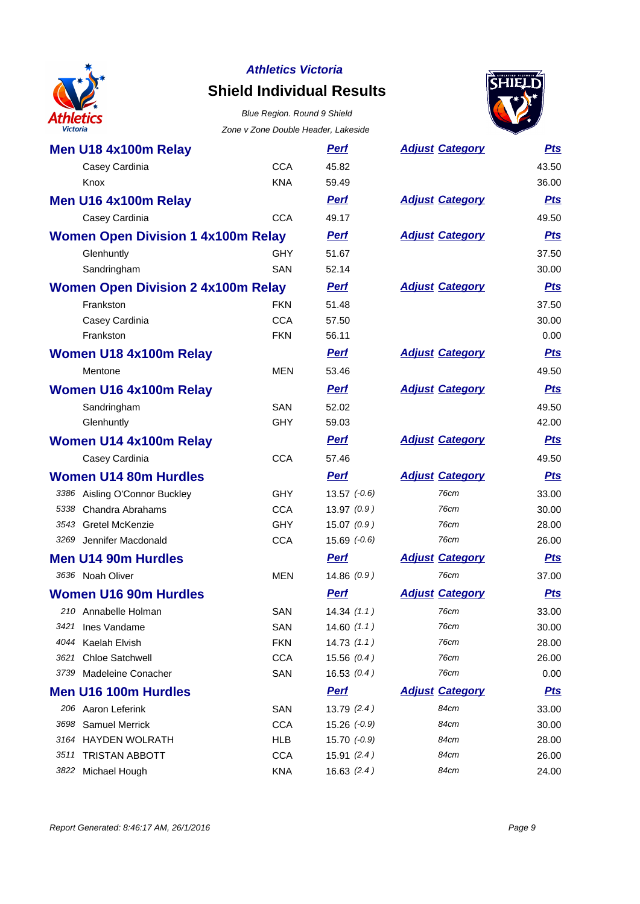

## **Shield Individual Results**





| Victoria                                  | Zone v Zone Double Header, Lakeside |                  |                        |            |
|-------------------------------------------|-------------------------------------|------------------|------------------------|------------|
| Men U18 4x100m Relay                      |                                     | <b>Perf</b>      | <b>Adjust Category</b> | <b>Pts</b> |
| Casey Cardinia                            | <b>CCA</b>                          | 45.82            |                        | 43.50      |
| Knox                                      | <b>KNA</b>                          | 59.49            |                        | 36.00      |
| Men U16 4x100m Relay                      |                                     | <b>Perf</b>      | <b>Adjust Category</b> | <b>Pts</b> |
| Casey Cardinia                            | <b>CCA</b>                          | 49.17            |                        | 49.50      |
| <b>Women Open Division 1 4x100m Relay</b> |                                     | <b>Perf</b>      | <b>Adjust Category</b> | <b>Pts</b> |
| Glenhuntly                                | <b>GHY</b>                          | 51.67            |                        | 37.50      |
| Sandringham                               | SAN                                 | 52.14            |                        | 30.00      |
| <b>Women Open Division 2 4x100m Relay</b> |                                     | <b>Perf</b>      | <b>Adjust Category</b> | <b>Pts</b> |
| Frankston                                 | <b>FKN</b>                          | 51.48            |                        | 37.50      |
| Casey Cardinia                            | <b>CCA</b>                          | 57.50            |                        | 30.00      |
| Frankston                                 | <b>FKN</b>                          | 56.11            |                        | 0.00       |
| Women U18 4x100m Relay                    |                                     | <b>Perf</b>      | <b>Adjust Category</b> | <b>Pts</b> |
| Mentone                                   | <b>MEN</b>                          | 53.46            |                        | 49.50      |
| Women U16 4x100m Relay                    |                                     | <b>Perf</b>      | <b>Adjust Category</b> | <b>Pts</b> |
| Sandringham                               | SAN                                 | 52.02            |                        | 49.50      |
| Glenhuntly                                | <b>GHY</b>                          | 59.03            |                        | 42.00      |
| Women U14 4x100m Relay                    |                                     | <b>Perf</b>      | <b>Adjust Category</b> | <b>Pts</b> |
| Casey Cardinia                            | <b>CCA</b>                          | 57.46            |                        | 49.50      |
| <b>Women U14 80m Hurdles</b>              |                                     | <b>Perf</b>      | <b>Adjust Category</b> | <b>Pts</b> |
| 3386 Aisling O'Connor Buckley             | <b>GHY</b>                          | $13.57 (-0.6)$   | 76cm                   | 33.00      |
| 5338 Chandra Abrahams                     | <b>CCA</b>                          | 13.97(0.9)       | 76cm                   | 30.00      |
| 3543 Gretel McKenzie                      | <b>GHY</b>                          | 15.07(0.9)       | 76cm                   | 28.00      |
| 3269 Jennifer Macdonald                   | <b>CCA</b>                          | $15.69$ $(-0.6)$ | 76cm                   | 26.00      |
| <b>Men U14 90m Hurdles</b>                |                                     | <b>Perf</b>      | <b>Adjust Category</b> | <b>Pts</b> |
| 3636 Noah Oliver                          | <b>MEN</b>                          | 14.86(0.9)       | 76cm                   | 37.00      |
| <b>Women U16 90m Hurdles</b>              |                                     | <b>Perf</b>      | <b>Adjust Category</b> | <u>Pts</u> |
| 210 Annabelle Holman                      | SAN                                 | 14.34(1.1)       | 76cm                   | 33.00      |
| 3421<br>Ines Vandame                      | SAN                                 | 14.60(1.1)       | 76cm                   | 30.00      |
| 4044 Kaelah Elvish                        | <b>FKN</b>                          | 14.73(1.1)       | 76cm                   | 28.00      |
| <b>Chloe Satchwell</b><br>3621            | <b>CCA</b>                          | 15.56(0.4)       | 76cm                   | 26.00      |
| 3739 Madeleine Conacher                   | SAN                                 | 16.53(0.4)       | 76cm                   | 0.00       |
| <b>Men U16 100m Hurdles</b>               |                                     | <b>Perf</b>      | <b>Adjust Category</b> | <u>Pts</u> |
| 206 Aaron Leferink                        | SAN                                 | 13.79(2.4)       | 84cm                   | 33.00      |
| 3698 Samuel Merrick                       | <b>CCA</b>                          | $15.26 (-0.9)$   | 84cm                   | 30.00      |
| 3164 HAYDEN WOLRATH                       | <b>HLB</b>                          | $15.70 (-0.9)$   | 84cm                   | 28.00      |
| <b>TRISTAN ABBOTT</b><br>3511             | <b>CCA</b>                          | 15.91(2.4)       | 84cm                   | 26.00      |
| 3822 Michael Hough                        | <b>KNA</b>                          | 16.63(2.4)       | 84cm                   | 24.00      |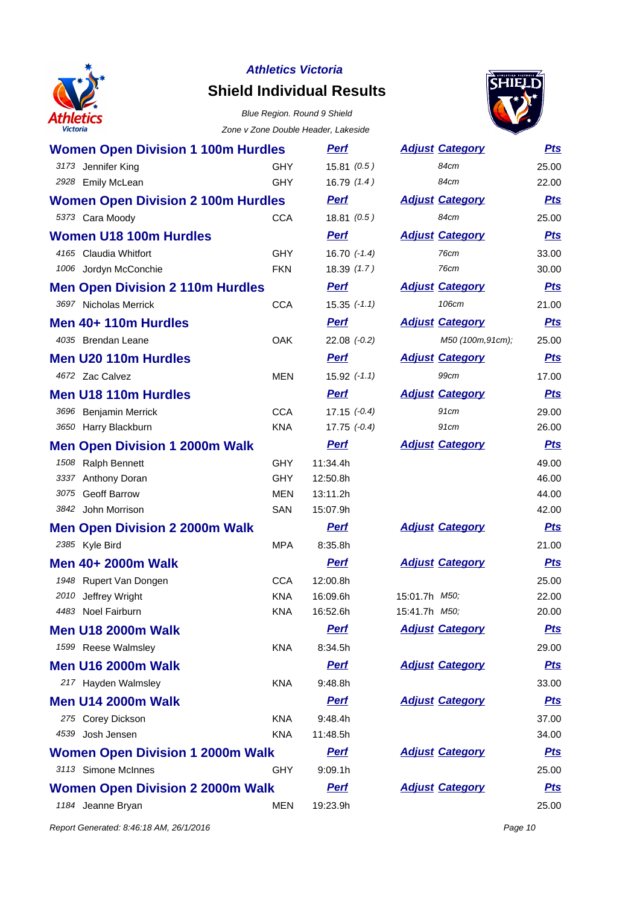

# **Shield Individual Results**

#### Blue Region. Round 9 Shield Zone v Zone Double Header, Lakeside



| <b>Women Open Division 1 100m Hurdles</b> |            | <u>Perf</u>      | <b>Adjust Category</b> | <b>Pts</b> |
|-------------------------------------------|------------|------------------|------------------------|------------|
| 3173 Jennifer King                        | GHY        | 15.81(0.5)       | 84cm                   | 25.00      |
| 2928 Emily McLean                         | <b>GHY</b> | 16.79(1.4)       | 84cm                   | 22.00      |
| <b>Women Open Division 2 100m Hurdles</b> |            | <u>Perf</u>      | <b>Adjust Category</b> | <b>Pts</b> |
| 5373 Cara Moody                           | <b>CCA</b> | 18.81(0.5)       | 84cm                   | 25.00      |
| <b>Women U18 100m Hurdles</b>             |            | <b>Perf</b>      | <b>Adjust Category</b> | <u>Pts</u> |
| 4165 Claudia Whitfort                     | <b>GHY</b> | $16.70$ $(-1.4)$ | 76cm                   | 33.00      |
| 1006 Jordyn McConchie                     | <b>FKN</b> | 18.39(1.7)       | 76cm                   | 30.00      |
| <b>Men Open Division 2 110m Hurdles</b>   |            | <u>Perf</u>      | <b>Adjust Category</b> | <u>Pts</u> |
| 3697 Nicholas Merrick                     | <b>CCA</b> | $15.35$ $(-1.1)$ | 106cm                  | 21.00      |
| Men 40+ 110m Hurdles                      |            | Perf             | <b>Adjust Category</b> | <b>Pts</b> |
| 4035 Brendan Leane                        | <b>OAK</b> | $22.08$ $(-0.2)$ | M50 (100m, 91cm);      | 25.00      |
| Men U20 110m Hurdles                      |            | <b>Perf</b>      | <b>Adjust Category</b> | <b>Pts</b> |
| 4672 Zac Calvez                           | <b>MEN</b> | $15.92$ $(-1.1)$ | 99cm                   | 17.00      |
| <b>Men U18 110m Hurdles</b>               |            | <b>Perf</b>      | <b>Adjust Category</b> | <b>Pts</b> |
| 3696 Benjamin Merrick                     | <b>CCA</b> | $17.15 (-0.4)$   | 91cm                   | 29.00      |
| 3650 Harry Blackburn                      | <b>KNA</b> | $17.75 (-0.4)$   | 91cm                   | 26.00      |
| <b>Men Open Division 1 2000m Walk</b>     |            | <b>Perf</b>      | <b>Adjust Category</b> | <u>Pts</u> |
| 1508 Ralph Bennett                        | <b>GHY</b> | 11:34.4h         |                        | 49.00      |
| 3337 Anthony Doran                        | <b>GHY</b> | 12:50.8h         |                        | 46.00      |
| 3075 Geoff Barrow                         | <b>MEN</b> | 13:11.2h         |                        | 44.00      |
| 3842 John Morrison                        | SAN        | 15:07.9h         |                        | 42.00      |
| <b>Men Open Division 2 2000m Walk</b>     |            | <b>Perf</b>      | <b>Adjust Category</b> | <b>Pts</b> |
| 2385 Kyle Bird                            | <b>MPA</b> | 8:35.8h          |                        | 21.00      |
| Men 40+ 2000m Walk                        |            | <b>Perf</b>      | <b>Adjust Category</b> | <u>Pts</u> |
| 1948 Rupert Van Dongen                    | <b>CCA</b> | 12:00.8h         |                        | 25.00      |
| 2010<br>Jeffrey Wright                    | <b>KNA</b> | 16:09.6h         | 15:01.7h <i>M50</i> ;  | 22.00      |
| 4483 Noel Fairburn                        | <b>KNA</b> | 16:52.6h         | 15:41.7h M50,          | 20.00      |
| <b>Men U18 2000m Walk</b>                 |            | <b>Perf</b>      | <b>Adjust Category</b> | <u>Pts</u> |
| 1599 Reese Walmsley                       | <b>KNA</b> | 8:34.5h          |                        | 29.00      |
| <b>Men U16 2000m Walk</b>                 |            | <b>Perf</b>      | <b>Adjust Category</b> | <b>Pts</b> |
| 217 Hayden Walmsley                       | <b>KNA</b> | 9:48.8h          |                        | 33.00      |
| <b>Men U14 2000m Walk</b>                 |            | <b>Perf</b>      | <b>Adjust Category</b> | <u>Pts</u> |
| 275 Corey Dickson                         | <b>KNA</b> | 9:48.4h          |                        | 37.00      |
| 4539 Josh Jensen                          | <b>KNA</b> | 11:48.5h         |                        | 34.00      |
| <b>Women Open Division 1 2000m Walk</b>   |            | <b>Perf</b>      | <b>Adjust Category</b> | <u>Pts</u> |
| 3113 Simone McInnes                       | GHY        | 9:09.1h          |                        | 25.00      |
| <b>Women Open Division 2 2000m Walk</b>   |            | <b>Perf</b>      | <b>Adjust Category</b> | <u>Pts</u> |
| 1184 Jeanne Bryan                         | <b>MEN</b> | 19:23.9h         |                        | 25.00      |

Report Generated: 8:46:18 AM, 26/1/2016 **Page 10**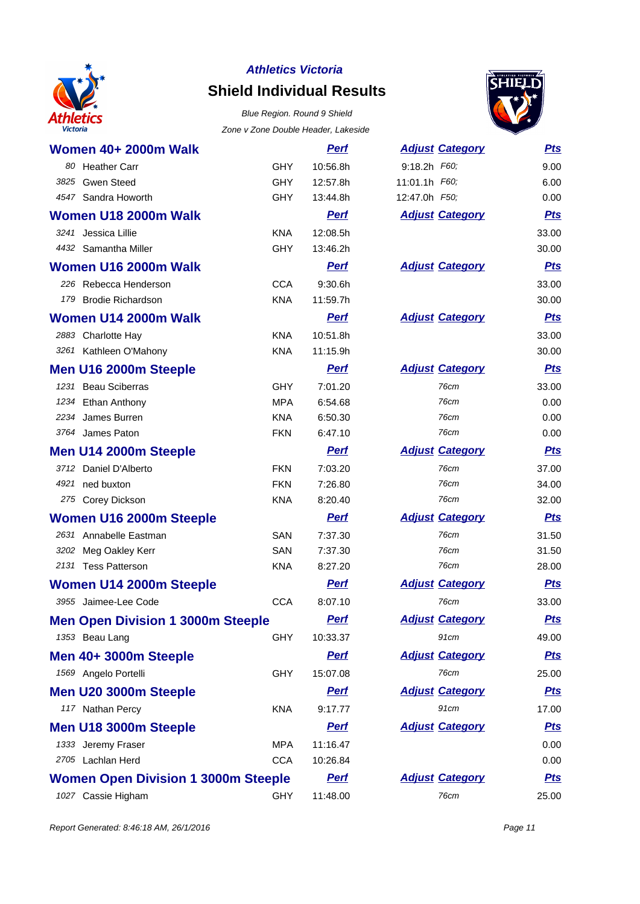

# **Shield Individual Results**

#### Blue Region. Round 9 Shield Zone v Zone Double Header, Lakeside



| <b>Women 40+ 2000m Walk</b>                |            | <b>Perf</b> | <b>Adjust Category</b> | <b>Pts</b> |
|--------------------------------------------|------------|-------------|------------------------|------------|
| 80 Heather Carr                            | <b>GHY</b> | 10:56.8h    | 9:18.2h F60;           | 9.00       |
| 3825<br><b>Gwen Steed</b>                  | <b>GHY</b> | 12:57.8h    | 11:01.1h F60;          | 6.00       |
| 4547 Sandra Howorth                        | <b>GHY</b> | 13:44.8h    | 12:47.0h F50;          | 0.00       |
| Women U18 2000m Walk                       |            | <b>Perf</b> | <b>Adjust Category</b> | <b>Pts</b> |
| 3241 Jessica Lillie                        | <b>KNA</b> | 12:08.5h    |                        | 33.00      |
| 4432 Samantha Miller                       | <b>GHY</b> | 13:46.2h    |                        | 30.00      |
| Women U16 2000m Walk                       |            | <b>Perf</b> | <b>Adjust Category</b> | <b>Pts</b> |
| 226 Rebecca Henderson                      | <b>CCA</b> | 9:30.6h     |                        | 33.00      |
| <b>Brodie Richardson</b><br>179            | <b>KNA</b> | 11:59.7h    |                        | 30.00      |
| Women U14 2000m Walk                       |            | <b>Perf</b> | <b>Adjust Category</b> | <u>Pts</u> |
| 2883 Charlotte Hay                         | <b>KNA</b> | 10:51.8h    |                        | 33.00      |
| 3261 Kathleen O'Mahony                     | <b>KNA</b> | 11:15.9h    |                        | 30.00      |
| Men U16 2000m Steeple                      |            | <b>Perf</b> | <b>Adjust Category</b> | <u>Pts</u> |
| 1231 Beau Sciberras                        | GHY        | 7:01.20     | 76cm                   | 33.00      |
| <b>Ethan Anthony</b><br>1234               | <b>MPA</b> | 6:54.68     | 76cm                   | 0.00       |
| James Burren<br>2234                       | <b>KNA</b> | 6:50.30     | 76cm                   | 0.00       |
| 3764 James Paton                           | <b>FKN</b> | 6:47.10     | <b>76cm</b>            | 0.00       |
| Men U14 2000m Steeple                      |            | <b>Perf</b> | <b>Adjust Category</b> | <u>Pts</u> |
| 3712 Daniel D'Alberto                      | <b>FKN</b> | 7:03.20     | 76cm                   | 37.00      |
| 4921 ned buxton                            | <b>FKN</b> | 7:26.80     | 76cm                   | 34.00      |
| 275 Corey Dickson                          | <b>KNA</b> | 8:20.40     | 76cm                   | 32.00      |
| Women U16 2000m Steeple                    |            | <b>Perf</b> | <b>Adjust Category</b> | <b>Pts</b> |
| 2631 Annabelle Eastman                     | <b>SAN</b> | 7:37.30     | 76cm                   | 31.50      |
| 3202 Meg Oakley Kerr                       | SAN        | 7:37.30     | 76cm                   | 31.50      |
| 2131 Tess Patterson                        | <b>KNA</b> | 8:27.20     | 76cm                   | 28.00      |
| Women U14 2000m Steeple                    |            | <b>Perf</b> | <b>Adjust Category</b> | <u>Pts</u> |
| 3955 Jaimee-Lee Code                       | <b>CCA</b> | 8:07.10     | 76cm                   | 33.00      |
| <b>Men Open Division 1 3000m Steeple</b>   |            | <b>Perf</b> | <b>Adjust Category</b> | <u>Pts</u> |
| 1353 Beau Lang                             | <b>GHY</b> | 10:33.37    | 91cm                   | 49.00      |
| Men 40+ 3000m Steeple                      |            | <b>Perf</b> | <b>Adjust Category</b> | <b>Pts</b> |
| 1569 Angelo Portelli                       | <b>GHY</b> | 15:07.08    | 76cm                   | 25.00      |
| Men U20 3000m Steeple                      |            | <b>Perf</b> | <b>Adjust Category</b> | <u>Pts</u> |
| 117 Nathan Percy                           | <b>KNA</b> | 9:17.77     | 91cm                   | 17.00      |
| Men U18 3000m Steeple                      |            | <b>Perf</b> | <b>Adjust Category</b> | <u>Pts</u> |
| 1333 Jeremy Fraser                         | <b>MPA</b> | 11:16.47    |                        | 0.00       |
| 2705 Lachlan Herd                          | <b>CCA</b> | 10:26.84    |                        | 0.00       |
| <b>Women Open Division 1 3000m Steeple</b> |            | <b>Perf</b> | <b>Adjust Category</b> | <u>Pts</u> |
| 1027 Cassie Higham                         | <b>GHY</b> | 11:48.00    | 76cm                   | 25.00      |

| :18.2h F60;                   | 9.00       |
|-------------------------------|------------|
| :01.1h F60;                   | 6.00       |
| 2:47.0h <i>F50;</i>           | 0.00       |
| <b>Adjust Category</b>        | <b>Pts</b> |
|                               | 33.00      |
|                               | 30.00      |
| <u><b>Adjust Category</b></u> | <u>Pts</u> |
|                               | 33.00      |
|                               | 30.00      |
| <u><b>Adjust Category</b></u> | <b>Pts</b> |
|                               | 33.00      |
|                               | 30.00      |
| Adjust Category               | <u>Pts</u> |
| 76cm                          | 33.00      |
| 76cm                          | 0.00       |
| 76cm                          | 0.00       |
| 76cm                          | 0.00       |
| <u><b>Adjust Category</b></u> | <b>Pts</b> |
| 76cm                          | 37.00      |
| 76cm                          | 34.00      |
| 76cm                          | 32.00      |
| <b>Adjust Category</b>        | <b>Pts</b> |
| 76cm                          | 31.50      |
| 76cm                          | 31.50      |
| 76cm                          | 28.00      |
| <u><b>Adjust Category</b></u> | <u>Pts</u> |
| 76cm                          | 33.00      |
| <u><b>Adjust Category</b></u> | Pts        |
| 91cm                          | 49.00      |
| Adjust Category               | <b>Pts</b> |
| 76cm                          | 25.00      |
| <b>Adjust Category</b>        | <u>Pts</u> |
| 91cm                          | 17.00      |
| Adjust Category               | <b>Pts</b> |
|                               | 0.00       |
|                               | 0.00       |
| Adjust Category               | <u>Pts</u> |
| 76cm                          | 25.00      |
|                               |            |

Report Generated: 8:46:18 AM, 26/1/2016 **Page 11**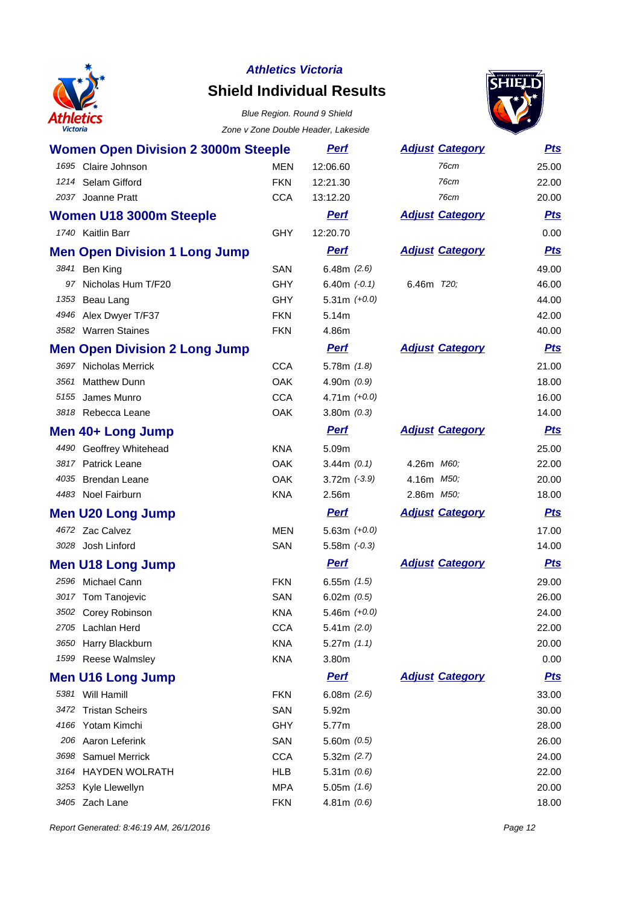

# **Shield Individual Results**



| <b>Women Open Division 2 3000m Steeple</b> |            | <u>Perf</u>     | <b>Adjust Category</b> | <b>Pts</b> |
|--------------------------------------------|------------|-----------------|------------------------|------------|
| 1695 Claire Johnson                        | <b>MEN</b> | 12:06.60        | 76cm                   | 25.00      |
| 1214 Selam Gifford                         | <b>FKN</b> | 12:21.30        | 76cm                   | 22.00      |
| 2037 Joanne Pratt                          | <b>CCA</b> | 13:12.20        | 76cm                   | 20.00      |
| Women U18 3000m Steeple                    |            | <b>Perf</b>     | <b>Adjust Category</b> | <u>Pts</u> |
| 1740 Kaitlin Barr                          | <b>GHY</b> | 12:20.70        |                        | 0.00       |
| <b>Men Open Division 1 Long Jump</b>       |            | <b>Perf</b>     | <b>Adjust Category</b> | <b>Pts</b> |
| 3841 Ben King                              | <b>SAN</b> | 6.48m $(2.6)$   |                        | 49.00      |
| 97 Nicholas Hum T/F20                      | <b>GHY</b> | 6.40m $(-0.1)$  | 6.46m 720;             | 46.00      |
| 1353<br>Beau Lang                          | <b>GHY</b> | 5.31m $(+0.0)$  |                        | 44.00      |
| 4946 Alex Dwyer T/F37                      | <b>FKN</b> | 5.14m           |                        | 42.00      |
| 3582 Warren Staines                        | <b>FKN</b> | 4.86m           |                        | 40.00      |
| <b>Men Open Division 2 Long Jump</b>       |            | <b>Perf</b>     | <b>Adjust Category</b> | <b>Pts</b> |
| 3697 Nicholas Merrick                      | <b>CCA</b> | $5.78m$ $(1.8)$ |                        | 21.00      |
| 3561 Matthew Dunn                          | <b>OAK</b> | 4.90 $m(0.9)$   |                        | 18.00      |
| 5155 James Munro                           | <b>CCA</b> | 4.71m $(+0.0)$  |                        | 16.00      |
| 3818 Rebecca Leane                         | <b>OAK</b> | $3.80m$ $(0.3)$ |                        | 14.00      |
| Men 40+ Long Jump                          |            | <b>Perf</b>     | <b>Adjust Category</b> | <u>Pts</u> |
| 4490 Geoffrey Whitehead                    | <b>KNA</b> | 5.09m           |                        | 25.00      |
| 3817 Patrick Leane                         | <b>OAK</b> | 3.44m $(0.1)$   | 4.26m M60;             | 22.00      |
| 4035 Brendan Leane                         | <b>OAK</b> | $3.72m (-3.9)$  | 4.16m <i>M50</i> ;     | 20.00      |
| 4483 Noel Fairburn                         | <b>KNA</b> | 2.56m           | 2.86m M50;             | 18.00      |
| <b>Men U20 Long Jump</b>                   |            | <u>Perf</u>     | <b>Adjust Category</b> | <u>Pts</u> |
| 4672 Zac Calvez                            | <b>MEN</b> | 5.63m $(+0.0)$  |                        | 17.00      |
| 3028 Josh Linford                          | SAN        | $5.58m (-0.3)$  |                        | 14.00      |
| <b>Men U18 Long Jump</b>                   |            | <b>Pert</b>     | <b>Adjust Category</b> | <b>Pts</b> |
| 2596 Michael Cann                          | <b>FKN</b> | $6.55m$ $(1.5)$ |                        | 29.00      |
| 3017 Tom Tanojevic                         | <b>SAN</b> | 6.02m(0.5)      |                        | 26.00      |
| 3502 Corey Robinson                        | <b>KNA</b> | 5.46m $(+0.0)$  |                        | 24.00      |
| 2705 Lachlan Herd                          | <b>CCA</b> | 5.41m $(2.0)$   |                        | 22.00      |
| 3650<br>Harry Blackburn                    | <b>KNA</b> | $5.27m$ $(1.1)$ |                        | 20.00      |
| 1599 Reese Walmsley                        | <b>KNA</b> | 3.80m           |                        | 0.00       |
| <b>Men U16 Long Jump</b>                   |            | <b>Perf</b>     | <b>Adjust Category</b> | <b>Pts</b> |
| 5381 Will Hamill                           | <b>FKN</b> | 6.08m(2.6)      |                        | 33.00      |
| 3472 Tristan Scheirs                       | SAN        | 5.92m           |                        | 30.00      |
| 4166 Yotam Kimchi                          | GHY        | 5.77m           |                        | 28.00      |
| 206 Aaron Leferink                         | SAN        | 5.60m $(0.5)$   |                        | 26.00      |
| <b>Samuel Merrick</b><br>3698              | <b>CCA</b> | 5.32m $(2.7)$   |                        | 24.00      |
| 3164 HAYDEN WOLRATH                        | <b>HLB</b> | 5.31m $(0.6)$   |                        | 22.00      |
| 3253 Kyle Llewellyn                        | <b>MPA</b> | $5.05m$ $(1.6)$ |                        | 20.00      |
| 3405 Zach Lane                             | <b>FKN</b> | 4.81m (0.6)     |                        | 18.00      |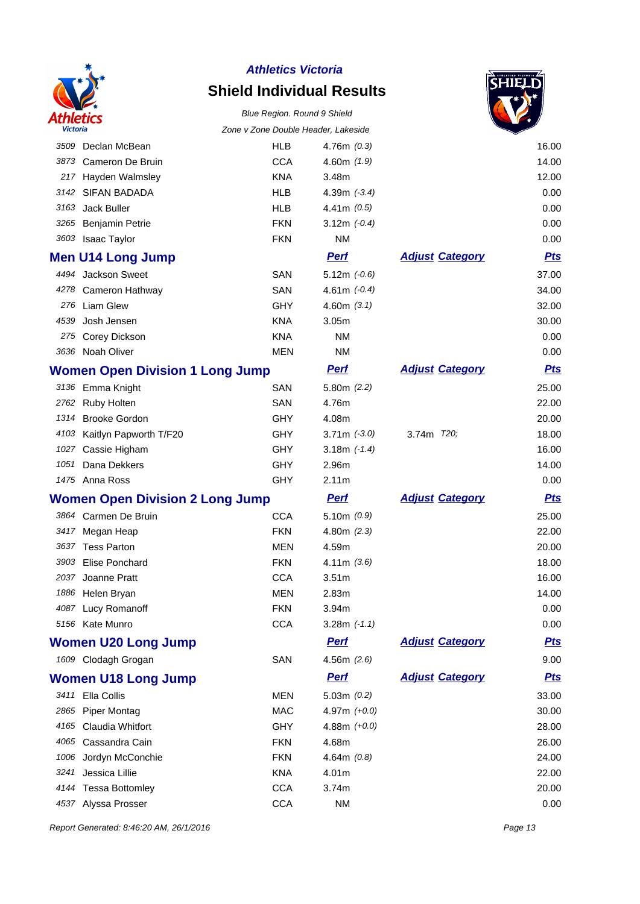

# **Shield Individual Results**

#### Blue Region. Round 9 Shield Zone v Zone Double Header, Lakeside



| victoria |                                        | Zone v Zone Double Header, Lakeside |                   |                        |            |
|----------|----------------------------------------|-------------------------------------|-------------------|------------------------|------------|
|          | 3509 Declan McBean                     | <b>HLB</b>                          | 4.76 $m(0.3)$     |                        | 16.00      |
| 3873     | Cameron De Bruin                       | <b>CCA</b>                          | 4.60m (1.9)       |                        | 14.00      |
| 217      | Hayden Walmsley                        | <b>KNA</b>                          | 3.48m             |                        | 12.00      |
| 3142     | <b>SIFAN BADADA</b>                    | <b>HLB</b>                          | 4.39m $(-3.4)$    |                        | 0.00       |
| 3163     | Jack Buller                            | <b>HLB</b>                          | 4.41m $(0.5)$     |                        | 0.00       |
| 3265     | Benjamin Petrie                        | <b>FKN</b>                          | 3.12m $(-0.4)$    |                        | 0.00       |
|          | 3603 Isaac Taylor                      | <b>FKN</b>                          | <b>NM</b>         |                        | 0.00       |
|          | <b>Men U14 Long Jump</b>               |                                     | <b>Perf</b>       | <b>Adjust Category</b> | <b>Pts</b> |
|          | 4494 Jackson Sweet                     | SAN                                 | $5.12m (-0.6)$    |                        | 37.00      |
| 4278     | Cameron Hathway                        | SAN                                 | 4.61m $(-0.4)$    |                        | 34.00      |
| 276      | <b>Liam Glew</b>                       | <b>GHY</b>                          | 4.60m $(3.1)$     |                        | 32.00      |
| 4539     | Josh Jensen                            | <b>KNA</b>                          | 3.05m             |                        | 30.00      |
| 275      | Corey Dickson                          | <b>KNA</b>                          | <b>NM</b>         |                        | 0.00       |
|          | 3636 Noah Oliver                       | <b>MEN</b>                          | <b>NM</b>         |                        | 0.00       |
|          | <b>Women Open Division 1 Long Jump</b> |                                     | <b>Perf</b>       | <b>Adjust Category</b> | <u>Pts</u> |
|          | 3136 Emma Knight                       | <b>SAN</b>                          | 5.80m(2.2)        |                        | 25.00      |
|          | 2762 Ruby Holten                       | SAN                                 | 4.76m             |                        | 22.00      |
| 1314     | <b>Brooke Gordon</b>                   | <b>GHY</b>                          | 4.08m             |                        | 20.00      |
|          | 4103 Kaitlyn Papworth T/F20            | <b>GHY</b>                          | $3.71m$ $(-3.0)$  | 3.74m 720;             | 18.00      |
|          | 1027 Cassie Higham                     | <b>GHY</b>                          | 3.18m $(-1.4)$    |                        | 16.00      |
| 1051     | Dana Dekkers                           | <b>GHY</b>                          | 2.96m             |                        | 14.00      |
|          | 1475 Anna Ross                         | <b>GHY</b>                          | 2.11m             |                        | 0.00       |
|          | <b>Women Open Division 2 Long Jump</b> |                                     | <b>Perf</b>       | <b>Adjust Category</b> | <u>Pts</u> |
|          | 3864 Carmen De Bruin                   | <b>CCA</b>                          | 5.10m $(0.9)$     |                        | 25.00      |
| 3417     | Megan Heap                             | <b>FKN</b>                          | 4.80 $m(2.3)$     |                        | 22.00      |
|          | 3637 Tess Parton                       | MEN                                 | 4.59m             |                        | 20.00      |
| 3903     | <b>Elise Ponchard</b>                  | <b>FKN</b>                          | 4.11m(3.6)        |                        | 18.00      |
| 2037     | Joanne Pratt                           | <b>CCA</b>                          | 3.51 <sub>m</sub> |                        | 16.00      |
|          | 1886 Helen Bryan                       | <b>MEN</b>                          | 2.83m             |                        | 14.00      |
|          | 4087 Lucy Romanoff                     | <b>FKN</b>                          | 3.94m             |                        | 0.00       |
|          | 5156 Kate Munro                        | <b>CCA</b>                          | 3.28m $(-1.1)$    |                        | 0.00       |
|          | <b>Women U20 Long Jump</b>             |                                     | <b>Perf</b>       | <b>Adjust Category</b> | <u>Pts</u> |
|          | 1609 Clodagh Grogan                    | SAN                                 | 4.56m $(2.6)$     |                        | 9.00       |
|          | <b>Women U18 Long Jump</b>             |                                     | <b>Perf</b>       | <b>Adjust Category</b> | <b>Pts</b> |
|          | 3411 Ella Collis                       | MEN                                 | 5.03m $(0.2)$     |                        | 33.00      |
|          | 2865 Piper Montag                      | <b>MAC</b>                          | 4.97m $(+0.0)$    |                        | 30.00      |
|          | 4165 Claudia Whitfort                  | <b>GHY</b>                          | 4.88m $(+0.0)$    |                        | 28.00      |
|          | 4065 Cassandra Cain                    | <b>FKN</b>                          | 4.68m             |                        | 26.00      |
|          | 1006 Jordyn McConchie                  | <b>FKN</b>                          | 4.64m $(0.8)$     |                        | 24.00      |
| 3241     | Jessica Lillie                         | KNA                                 | 4.01m             |                        | 22.00      |
|          | 4144 Tessa Bottomley                   | <b>CCA</b>                          | 3.74m             |                        | 20.00      |
|          | 4537 Alyssa Prosser                    | <b>CCA</b>                          | NM                |                        | 0.00       |

Report Generated: 8:46:20 AM, 26/1/2016 **Page 13**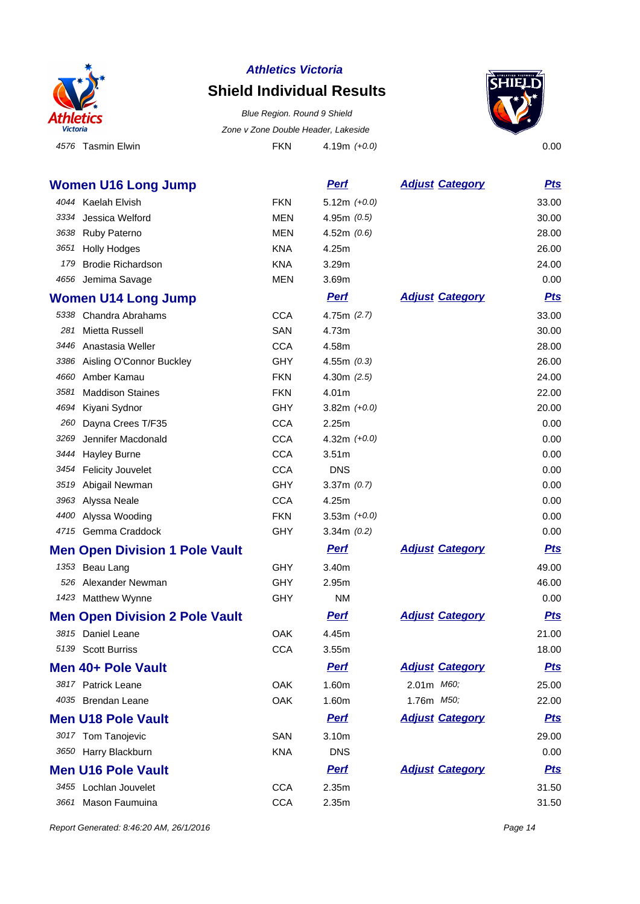

## **Shield Individual Results**

4576 Tasmin Elwin **Elwin FKN** 4.19m (+0.0) 4.19m (+0.0) Blue Region. Round 9 Shield Zone v Zone Double Header, Lakeside



|      | <b>Women U16 Long Jump</b>            |            | <b>Perf</b>       | <b>Adjust Category</b> | <u>Pts</u> |
|------|---------------------------------------|------------|-------------------|------------------------|------------|
|      | 4044 Kaelah Elvish                    | <b>FKN</b> | $5.12m (+0.0)$    |                        | 33.00      |
| 3334 | Jessica Welford                       | <b>MEN</b> | 4.95m $(0.5)$     |                        | 30.00      |
| 3638 | Ruby Paterno                          | <b>MEN</b> | 4.52m $(0.6)$     |                        | 28.00      |
| 3651 | <b>Holly Hodges</b>                   | <b>KNA</b> | 4.25m             |                        | 26.00      |
| 179  | <b>Brodie Richardson</b>              | <b>KNA</b> | 3.29 <sub>m</sub> |                        | 24.00      |
|      | 4656 Jemima Savage                    | <b>MEN</b> | 3.69m             |                        | 0.00       |
|      | <b>Women U14 Long Jump</b>            |            | <b>Pert</b>       | <b>Adjust Category</b> | <u>Pts</u> |
|      | 5338 Chandra Abrahams                 | <b>CCA</b> | 4.75m $(2.7)$     |                        | 33.00      |
| 281  | Mietta Russell                        | SAN        | 4.73m             |                        | 30.00      |
|      | 3446 Anastasia Weller                 | <b>CCA</b> | 4.58m             |                        | 28.00      |
|      | 3386 Aisling O'Connor Buckley         | <b>GHY</b> | 4.55m $(0.3)$     |                        | 26.00      |
| 4660 | Amber Kamau                           | <b>FKN</b> | 4.30m $(2.5)$     |                        | 24.00      |
| 3581 | <b>Maddison Staines</b>               | <b>FKN</b> | 4.01m             |                        | 22.00      |
| 4694 | Kiyani Sydnor                         | <b>GHY</b> | 3.82m $(+0.0)$    |                        | 20.00      |
| 260  | Dayna Crees T/F35                     | <b>CCA</b> | 2.25m             |                        | 0.00       |
| 3269 | Jennifer Macdonald                    | <b>CCA</b> | 4.32m $(+0.0)$    |                        | 0.00       |
| 3444 | <b>Hayley Burne</b>                   | <b>CCA</b> | 3.51 <sub>m</sub> |                        | 0.00       |
| 3454 | <b>Felicity Jouvelet</b>              | <b>CCA</b> | <b>DNS</b>        |                        | 0.00       |
| 3519 | Abigail Newman                        | <b>GHY</b> | 3.37m $(0.7)$     |                        | 0.00       |
|      | 3963 Alyssa Neale                     | <b>CCA</b> | 4.25m             |                        | 0.00       |
| 4400 | Alyssa Wooding                        | <b>FKN</b> | 3.53m $(+0.0)$    |                        | 0.00       |
|      | 4715 Gemma Craddock                   | <b>GHY</b> | 3.34 $m(0.2)$     |                        | 0.00       |
|      | <b>Men Open Division 1 Pole Vault</b> |            | <u>Perf</u>       | <b>Adjust Category</b> | <u>Pts</u> |
|      | 1353 Beau Lang                        | <b>GHY</b> | 3.40m             |                        | 49.00      |
|      | 526 Alexander Newman                  | <b>GHY</b> | 2.95m             |                        | 46.00      |
|      | 1423 Matthew Wynne                    | <b>GHY</b> | <b>NM</b>         |                        | 0.00       |
|      | <b>Men Open Division 2 Pole Vault</b> |            | <b>Perf</b>       | <b>Adjust Category</b> | <u>Pts</u> |
| 3815 | Daniel Leane                          | <b>OAK</b> | 4.45m             |                        | 21.00      |
|      | 5139 Scott Burriss                    | <b>CCA</b> | 3.55m             |                        | 18.00      |
|      | Men 40+ Pole Vault                    |            | <u>Perf</u>       | <b>Adjust Category</b> | <u>Pts</u> |
|      | 3817 Patrick Leane                    | OAK        | 1.60m             | 2.01m M60;             | 25.00      |
|      | 4035 Brendan Leane                    | OAK        | 1.60m             | 1.76m M50;             | 22.00      |
|      | <b>Men U18 Pole Vault</b>             |            | <b>Perf</b>       | <b>Adjust Category</b> | <u>Pts</u> |
|      | 3017 Tom Tanojevic                    | SAN        | 3.10m             |                        | 29.00      |
|      | 3650 Harry Blackburn                  | <b>KNA</b> | <b>DNS</b>        |                        | 0.00       |
|      | <b>Men U16 Pole Vault</b>             |            | <b>Perf</b>       | <b>Adjust Category</b> | <u>Pts</u> |
|      | 3455 Lochlan Jouvelet                 | <b>CCA</b> | 2.35m             |                        | 31.50      |
| 3661 | Mason Faumuina                        | <b>CCA</b> | 2.35m             |                        | 31.50      |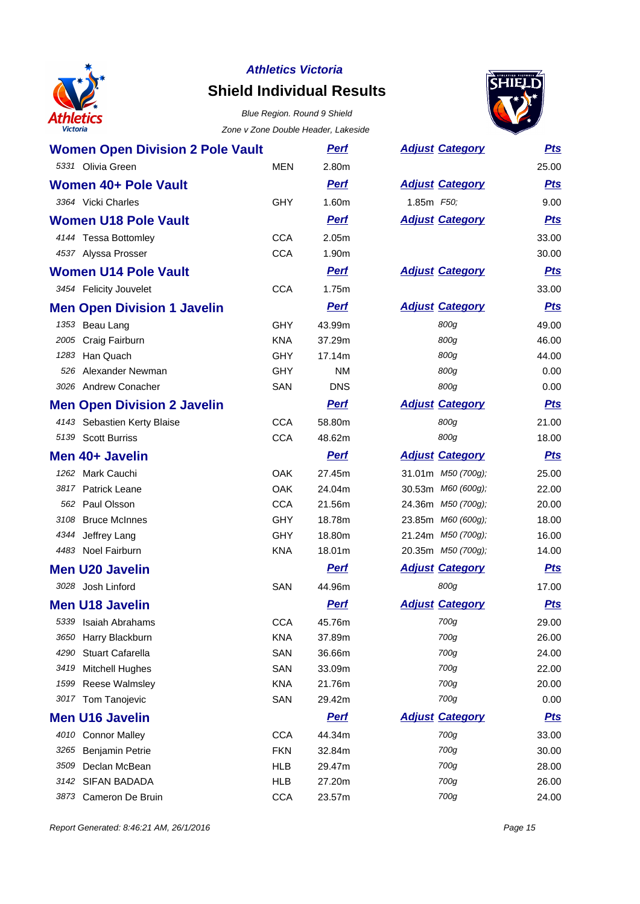

### **Athletics Victoria Shield Individual Results**



| <b>Women Open Division 2 Pole Vault</b> |            | <u>Perf</u> | <b>Adjust Category</b> | <b>Pts</b> |
|-----------------------------------------|------------|-------------|------------------------|------------|
| 5331 Olivia Green                       | <b>MEN</b> | 2.80m       |                        | 25.00      |
| Women 40+ Pole Vault                    |            | <b>Perf</b> | <b>Adjust Category</b> | <u>Pts</u> |
| 3364 Vicki Charles                      | <b>GHY</b> | 1.60m       | 1.85m F50;             | 9.00       |
| <b>Women U18 Pole Vault</b>             |            | <b>Perf</b> | <b>Adjust Category</b> | <b>Pts</b> |
| 4144 Tessa Bottomley                    | <b>CCA</b> | 2.05m       |                        | 33.00      |
| 4537 Alyssa Prosser                     | <b>CCA</b> | 1.90m       |                        | 30.00      |
| <b>Women U14 Pole Vault</b>             |            | <b>Perf</b> | <b>Adjust Category</b> | <u>Pts</u> |
| 3454 Felicity Jouvelet                  | <b>CCA</b> | 1.75m       |                        | 33.00      |
| <b>Men Open Division 1 Javelin</b>      |            | <b>Perf</b> | <b>Adjust Category</b> | <b>Pts</b> |
| 1353 Beau Lang                          | <b>GHY</b> | 43.99m      | 800g                   | 49.00      |
| 2005 Craig Fairburn                     | <b>KNA</b> | 37.29m      | 800g                   | 46.00      |
| 1283 Han Quach                          | <b>GHY</b> | 17.14m      | 800g                   | 44.00      |
| 526 Alexander Newman                    | <b>GHY</b> | <b>NM</b>   | 800g                   | 0.00       |
| 3026 Andrew Conacher                    | SAN        | <b>DNS</b>  | 800g                   | 0.00       |
| <b>Men Open Division 2 Javelin</b>      |            | <b>Perf</b> | <b>Adjust Category</b> | <u>Pts</u> |
| 4143 Sebastien Kerty Blaise             | <b>CCA</b> | 58.80m      | 800g                   | 21.00      |
| 5139 Scott Burriss                      | <b>CCA</b> | 48.62m      | 800g                   | 18.00      |
| Men 40+ Javelin                         |            | <b>Perf</b> | <b>Adjust Category</b> | <b>Pts</b> |
| 1262 Mark Cauchi                        | <b>OAK</b> | 27.45m      | 31.01m M50 (700g);     | 25.00      |
| 3817 Patrick Leane                      | <b>OAK</b> | 24.04m      | 30.53m M60 (600g);     | 22.00      |
| 562 Paul Olsson                         | <b>CCA</b> | 21.56m      | 24.36m M50 (700g);     | 20.00      |
| 3108 Bruce McInnes                      | <b>GHY</b> | 18.78m      | 23.85m M60 (600g);     | 18.00      |
| 4344 Jeffrey Lang                       | GHY        | 18.80m      | 21.24m M50 (700g);     | 16.00      |
| 4483 Noel Fairburn                      | <b>KNA</b> | 18.01m      | 20.35m M50 (700g);     | 14.00      |
| <b>Men U20 Javelin</b>                  |            | <u>Perf</u> | <b>Adjust Category</b> | <b>Pts</b> |
| 3028 Josh Linford                       | <b>SAN</b> | 44.96m      | 800g                   | 17.00      |
| <b>Men U18 Javelin</b>                  |            | <b>Perf</b> | <b>Adjust Category</b> | <b>Pts</b> |
| 5339<br>Isaiah Abrahams                 | <b>CCA</b> | 45.76m      | 700g                   | 29.00      |
| 3650<br>Harry Blackburn                 | <b>KNA</b> | 37.89m      | 700g                   | 26.00      |
| 4290<br><b>Stuart Cafarella</b>         | SAN        | 36.66m      | 700g                   | 24.00      |
| <b>Mitchell Hughes</b><br>3419          | SAN        | 33.09m      | 700g                   | 22.00      |
| 1599<br><b>Reese Walmsley</b>           | <b>KNA</b> | 21.76m      | 700g                   | 20.00      |
| 3017<br>Tom Tanojevic                   | SAN        | 29.42m      | 700g                   | 0.00       |
| <b>Men U16 Javelin</b>                  |            | <b>Pert</b> | <b>Adjust Category</b> | <u>Pts</u> |
| 4010 Connor Malley                      | <b>CCA</b> | 44.34m      | 700g                   | 33.00      |
| 3265<br><b>Benjamin Petrie</b>          | <b>FKN</b> | 32.84m      | 700g                   | 30.00      |
| Declan McBean<br>3509                   | <b>HLB</b> | 29.47m      | 700g                   | 28.00      |
| 3142 SIFAN BADADA                       | <b>HLB</b> | 27.20m      | 700g                   | 26.00      |
| Cameron De Bruin<br>3873                | <b>CCA</b> | 23.57m      | 700g                   | 24.00      |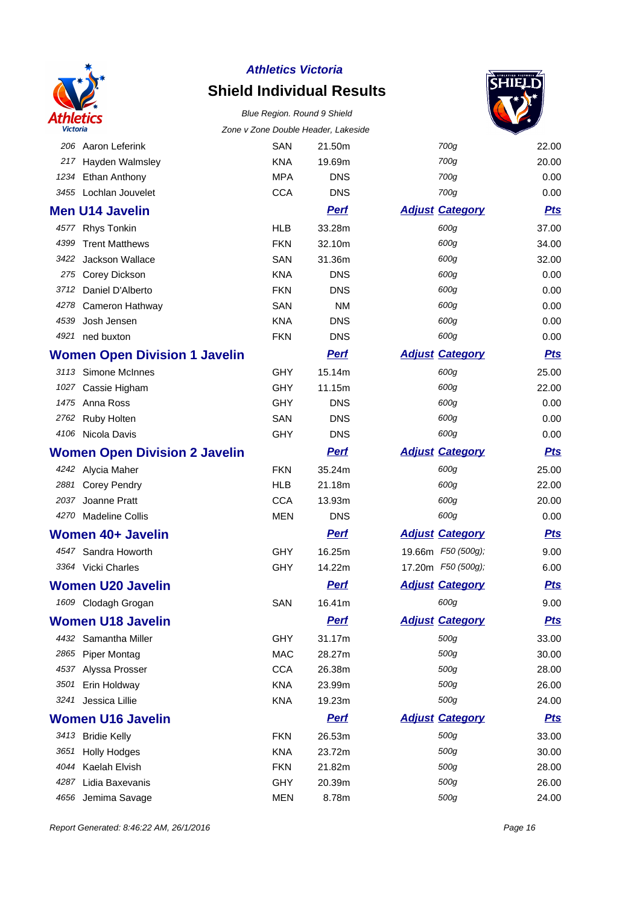

## **Shield Individual Results** Blue Region. Round 9 Shield



| <b>Victoria</b> |                                      |            | Zone v Zone Double Header, Lakeside |                        |            |
|-----------------|--------------------------------------|------------|-------------------------------------|------------------------|------------|
| 206             | Aaron Leferink                       | <b>SAN</b> | 21.50m                              | 700g                   | 22.00      |
| 217             | Hayden Walmsley                      | <b>KNA</b> | 19.69m                              | 700g                   | 20.00      |
| 1234            | Ethan Anthony                        | <b>MPA</b> | <b>DNS</b>                          | 700g                   | 0.00       |
|                 | 3455 Lochlan Jouvelet                | <b>CCA</b> | <b>DNS</b>                          | 700g                   | 0.00       |
|                 | <b>Men U14 Javelin</b>               |            | <b>Perf</b>                         | <b>Adjust Category</b> | <b>Pts</b> |
|                 | 4577 Rhys Tonkin                     | <b>HLB</b> | 33.28m                              | 600g                   | 37.00      |
| 4399            | <b>Trent Matthews</b>                | <b>FKN</b> | 32.10m                              | 600g                   | 34.00      |
| 3422            | Jackson Wallace                      | <b>SAN</b> | 31.36m                              | 600g                   | 32.00      |
|                 | 275 Corey Dickson                    | <b>KNA</b> | <b>DNS</b>                          | 600g                   | 0.00       |
| 3712            | Daniel D'Alberto                     | <b>FKN</b> | <b>DNS</b>                          | 600g                   | 0.00       |
| 4278            | Cameron Hathway                      | <b>SAN</b> | <b>NM</b>                           | 600g                   | 0.00       |
| 4539            | Josh Jensen                          | <b>KNA</b> | <b>DNS</b>                          | 600g                   | 0.00       |
| 4921            | ned buxton                           | <b>FKN</b> | <b>DNS</b>                          | 600g                   | 0.00       |
|                 | <b>Women Open Division 1 Javelin</b> |            | <b>Perf</b>                         | <b>Adjust Category</b> | <b>Pts</b> |
|                 | 3113 Simone McInnes                  | GHY        | 15.14m                              | 600g                   | 25.00      |
| 1027            | Cassie Higham                        | <b>GHY</b> | 11.15m                              | 600g                   | 22.00      |
|                 | 1475 Anna Ross                       | GHY        | <b>DNS</b>                          | 600g                   | 0.00       |
| 2762            | Ruby Holten                          | SAN        | <b>DNS</b>                          | 600g                   | 0.00       |
|                 | 4106 Nicola Davis                    | GHY        | <b>DNS</b>                          | 600g                   | 0.00       |
|                 | <b>Women Open Division 2 Javelin</b> |            | <u>Perf</u>                         | <b>Adjust Category</b> | <u>Pts</u> |
|                 | 4242 Alycia Maher                    | <b>FKN</b> | 35.24m                              | 600g                   | 25.00      |
| 2881            | <b>Corey Pendry</b>                  | <b>HLB</b> | 21.18m                              | 600g                   | 22.00      |
| 2037            | Joanne Pratt                         | <b>CCA</b> | 13.93m                              | 600g                   | 20.00      |
|                 | 4270 Madeline Collis                 | <b>MEN</b> | <b>DNS</b>                          | 600g                   | 0.00       |
|                 | Women 40+ Javelin                    |            | <b>Perf</b>                         | <b>Adjust Category</b> | <b>Pts</b> |
|                 | 4547 Sandra Howorth                  | <b>GHY</b> | 16.25m                              | 19.66m F50 (500g);     | 9.00       |
|                 | 3364 Vicki Charles                   | GHY        | 14.22m                              | 17.20m F50 (500g);     | 6.00       |
|                 | <b>Women U20 Javelin</b>             |            | <b>Perf</b>                         | <b>Adjust Category</b> | <b>Pts</b> |
|                 | 1609 Clodagh Grogan                  | <b>SAN</b> | 16.41m                              | 600g                   | 9.00       |
|                 | <b>Women U18 Javelin</b>             |            | <b>Perf</b>                         | <b>Adjust Category</b> | <u>Pts</u> |
|                 | 4432 Samantha Miller                 | <b>GHY</b> | 31.17m                              | 500g                   | 33.00      |
|                 | 2865 Piper Montag                    | <b>MAC</b> | 28.27m                              | 500g                   | 30.00      |
| 4537            | Alyssa Prosser                       | <b>CCA</b> | 26.38m                              | 500g                   | 28.00      |
| 3501            | Erin Holdway                         | <b>KNA</b> | 23.99m                              | 500g                   | 26.00      |
| 3241            | Jessica Lillie                       | <b>KNA</b> | 19.23m                              | 500g                   | 24.00      |
|                 | <b>Women U16 Javelin</b>             |            | <b>Perf</b>                         | <b>Adjust Category</b> | <u>Pts</u> |
|                 | 3413 Bridie Kelly                    | <b>FKN</b> | 26.53m                              | 500g                   | 33.00      |
| 3651            | <b>Holly Hodges</b>                  | <b>KNA</b> | 23.72m                              | 500g                   | 30.00      |
| 4044            | Kaelah Elvish                        | <b>FKN</b> | 21.82m                              | 500g                   | 28.00      |
| 4287            | Lidia Baxevanis                      | GHY        | 20.39m                              | 500g                   | 26.00      |
| 4656            | Jemima Savage                        | <b>MEN</b> | 8.78m                               | 500g                   | 24.00      |

Report Generated: 8:46:22 AM, 26/1/2016 **Page 16**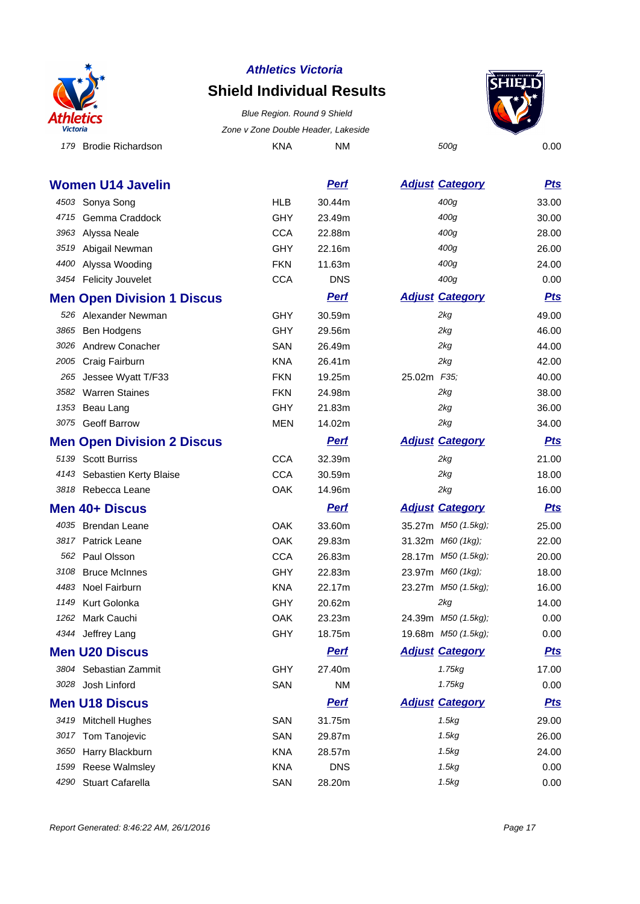

## **Shield Individual Results**



179 Brodie Richardson **KNA** NM 500g 0.00 Blue Region. Round 9 Shield Zone v Zone Double Header, Lakeside

|      | Women U14 Javelin                 |            | <b>Pert</b> | <b>Adjust Category</b> | <u>Pts</u> |
|------|-----------------------------------|------------|-------------|------------------------|------------|
|      | 4503 Sonya Song                   | <b>HLB</b> | 30.44m      | 400g                   | 33.00      |
| 4715 | Gemma Craddock                    | GHY        | 23.49m      | 400g                   | 30.00      |
| 3963 | Alyssa Neale                      | <b>CCA</b> | 22.88m      | 400g                   | 28.00      |
| 3519 | Abigail Newman                    | GHY        | 22.16m      | 400g                   | 26.00      |
| 4400 | Alyssa Wooding                    | <b>FKN</b> | 11.63m      | 400g                   | 24.00      |
|      | 3454 Felicity Jouvelet            | <b>CCA</b> | <b>DNS</b>  | 400g                   | 0.00       |
|      | <b>Men Open Division 1 Discus</b> |            | <b>Perf</b> | <b>Adjust Category</b> | <b>Pts</b> |
|      | 526 Alexander Newman              | GHY        | 30.59m      | 2kg                    | 49.00      |
| 3865 | Ben Hodgens                       | GHY        | 29.56m      | 2kg                    | 46.00      |
|      | 3026 Andrew Conacher              | SAN        | 26.49m      | 2kg                    | 44.00      |
|      | 2005 Craig Fairburn               | <b>KNA</b> | 26.41m      | 2kg                    | 42.00      |
| 265  | Jessee Wyatt T/F33                | <b>FKN</b> | 19.25m      | 25.02m F35;            | 40.00      |
| 3582 | <b>Warren Staines</b>             | <b>FKN</b> | 24.98m      | 2kg                    | 38.00      |
| 1353 | Beau Lang                         | <b>GHY</b> | 21.83m      | 2kg                    | 36.00      |
|      | 3075 Geoff Barrow                 | MEN        | 14.02m      | 2kg                    | 34.00      |
|      | <b>Men Open Division 2 Discus</b> |            | <b>Pert</b> | <b>Adjust Category</b> | <u>Pts</u> |
|      | 5139 Scott Burriss                | <b>CCA</b> | 32.39m      | 2kg                    | 21.00      |
|      | 4143 Sebastien Kerty Blaise       | <b>CCA</b> | 30.59m      | 2kg                    | 18.00      |
|      | 3818 Rebecca Leane                | OAK        | 14.96m      | 2kg                    | 16.00      |
|      | Men 40+ Discus                    |            | <b>Perf</b> | <b>Adjust Category</b> | <u>Pts</u> |
|      | 4035 Brendan Leane                | OAK        | 33.60m      | 35.27m M50 (1.5kg);    | 25.00      |
|      | 3817 Patrick Leane                | OAK        | 29.83m      | 31.32m M60 (1kg);      | 22.00      |
| 562  | Paul Olsson                       | <b>CCA</b> | 26.83m      | 28.17m M50 (1.5kg);    | 20.00      |
| 3108 | <b>Bruce McInnes</b>              | GHY        | 22.83m      | 23.97m M60 (1kg);      | 18.00      |
|      | 4483 Noel Fairburn                | <b>KNA</b> | 22.17m      | 23.27m M50 (1.5kg);    | 16.00      |
| 1149 | Kurt Golonka                      | <b>GHY</b> | 20.62m      | 2kg                    | 14.00      |
| 1262 | Mark Cauchi                       | <b>OAK</b> | 23.23m      | 24.39m M50 (1.5kg);    | 0.00       |
|      | 4344 Jeffrey Lang                 | GHY        | 18.75m      | 19.68m M50 (1.5kg);    | 0.00       |
|      | <b>Men U20 Discus</b>             |            | <b>Perf</b> | <b>Adjust Category</b> | <u>Pts</u> |
|      | 3804 Sebastian Zammit             | <b>GHY</b> | 27.40m      | 1.75kg                 | 17.00      |
|      | 3028 Josh Linford                 | SAN        | <b>NM</b>   | 1.75kg                 | 0.00       |
|      | <b>Men U18 Discus</b>             |            | <b>Pert</b> | <b>Adjust Category</b> | <u>Pts</u> |
|      | 3419 Mitchell Hughes              | SAN        | 31.75m      | 1.5kg                  | 29.00      |
| 3017 | Tom Tanojevic                     | SAN        | 29.87m      | 1.5kg                  | 26.00      |
| 3650 | Harry Blackburn                   | <b>KNA</b> | 28.57m      | 1.5kg                  | 24.00      |
| 1599 | Reese Walmsley                    | <b>KNA</b> | <b>DNS</b>  | 1.5kg                  | 0.00       |
| 4290 | <b>Stuart Cafarella</b>           | SAN        | 28.20m      | 1.5kg                  | 0.00       |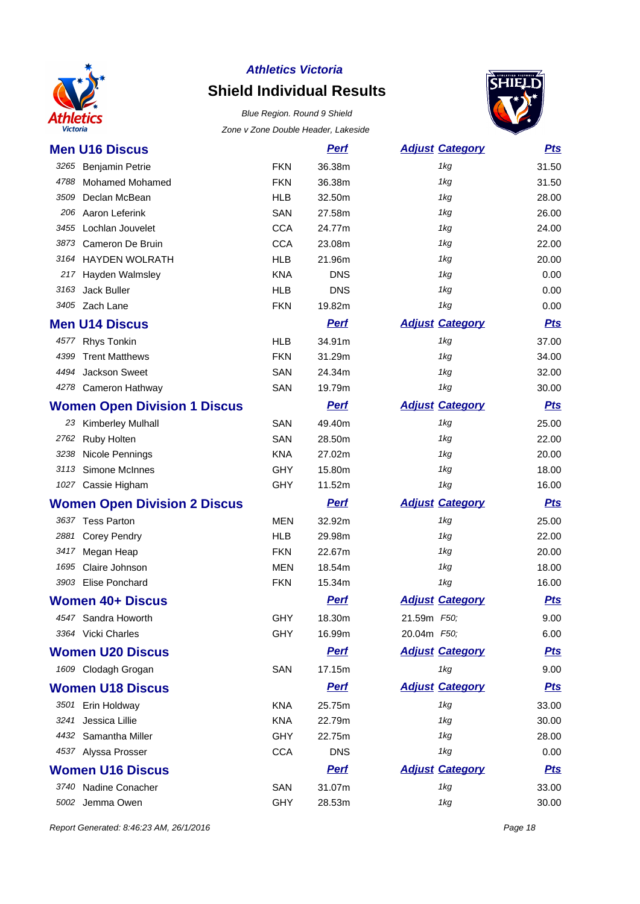

# **Shield Individual Results**

Blue Region. Round 9 Shield Zone v Zone Double Header, Lakeside



| <b>Men U16 Discus</b>               |            | <u>Perf</u> | <b>Adjust Category</b> | <u>Pts</u> |
|-------------------------------------|------------|-------------|------------------------|------------|
| 3265 Benjamin Petrie                | <b>FKN</b> | 36.38m      | 1kg                    | 31.50      |
| <b>Mohamed Mohamed</b><br>4788      | <b>FKN</b> | 36.38m      | 1kg                    | 31.50      |
| 3509<br>Declan McBean               | <b>HLB</b> | 32.50m      | 1kg                    | 28.00      |
| Aaron Leferink<br>206               | SAN        | 27.58m      | 1kg                    | 26.00      |
| Lochlan Jouvelet<br>3455            | <b>CCA</b> | 24.77m      | 1kg                    | 24.00      |
| 3873<br>Cameron De Bruin            | <b>CCA</b> | 23.08m      | 1kg                    | 22.00      |
| 3164 HAYDEN WOLRATH                 | <b>HLB</b> | 21.96m      | 1kg                    | 20.00      |
| 217 Hayden Walmsley                 | <b>KNA</b> | <b>DNS</b>  | 1kg                    | 0.00       |
| 3163<br>Jack Buller                 | <b>HLB</b> | <b>DNS</b>  | 1kg                    | 0.00       |
| 3405 Zach Lane                      | <b>FKN</b> | 19.82m      | 1kg                    | 0.00       |
| <b>Men U14 Discus</b>               |            | <b>Perf</b> | <b>Adjust Category</b> | <b>Pts</b> |
| <b>Rhys Tonkin</b><br>4577          | <b>HLB</b> | 34.91m      | 1kg                    | 37.00      |
| <b>Trent Matthews</b><br>4399       | <b>FKN</b> | 31.29m      | 1kg                    | 34.00      |
| 4494<br>Jackson Sweet               | SAN        | 24.34m      | 1kg                    | 32.00      |
| 4278 Cameron Hathway                | SAN        | 19.79m      | 1kg                    | 30.00      |
| <b>Women Open Division 1 Discus</b> |            | <b>Perf</b> | <b>Adjust Category</b> | <u>Pts</u> |
| 23 Kimberley Mulhall                | SAN        | 49.40m      | 1kg                    | 25.00      |
| Ruby Holten<br>2762                 | SAN        | 28.50m      | 1kg                    | 22.00      |
| 3238<br>Nicole Pennings             | <b>KNA</b> | 27.02m      | 1kg                    | 20.00      |
| Simone McInnes<br>3113              | <b>GHY</b> | 15.80m      | 1kg                    | 18.00      |
| 1027 Cassie Higham                  | <b>GHY</b> | 11.52m      | 1kg                    | 16.00      |
| <b>Women Open Division 2 Discus</b> |            | <b>Perf</b> | <b>Adjust Category</b> | <b>Pts</b> |
| 3637 Tess Parton                    | <b>MEN</b> | 32.92m      | 1kg                    | 25.00      |
| 2881<br><b>Corey Pendry</b>         | <b>HLB</b> | 29.98m      | 1kg                    | 22.00      |
| 3417<br>Megan Heap                  | <b>FKN</b> | 22.67m      | 1kg                    | 20.00      |
| Claire Johnson<br>1695              | <b>MEN</b> | 18.54m      | 1kg                    | 18.00      |
| 3903 Elise Ponchard                 | <b>FKN</b> | 15.34m      | 1kg                    | 16.00      |
| <b>Women 40+ Discus</b>             |            | <b>Perf</b> | <b>Adjust Category</b> | <u>Pts</u> |
| 4547 Sandra Howorth                 | GHY        | 18.30m      | 21.59m F50;            | 9.00       |
| 3364 Vicki Charles                  | <b>GHY</b> | 16.99m      | 20.04m F50;            | 6.00       |
| <b>Women U20 Discus</b>             |            | <b>Perf</b> | <b>Adjust Category</b> | <u>Pts</u> |
| 1609 Clodagh Grogan                 | SAN        | 17.15m      | 1kg                    | 9.00       |
| <b>Women U18 Discus</b>             |            | <b>Perf</b> | <b>Adjust Category</b> | <u>Pts</u> |
| 3501 Erin Holdway                   | <b>KNA</b> | 25.75m      | 1kg                    | 33.00      |
| Jessica Lillie<br>3241              | <b>KNA</b> | 22.79m      | 1kg                    | 30.00      |
| 4432 Samantha Miller                | <b>GHY</b> | 22.75m      | 1kg                    | 28.00      |
| 4537 Alyssa Prosser                 | <b>CCA</b> | <b>DNS</b>  | 1kg                    | 0.00       |
| <b>Women U16 Discus</b>             |            | <b>Perf</b> | <b>Adjust Category</b> | <u>Pts</u> |
| 3740 Nadine Conacher                | SAN        | 31.07m      | 1kg                    | 33.00      |
| 5002 Jemma Owen                     | <b>GHY</b> | 28.53m      | 1kg                    | 30.00      |

Report Generated: 8:46:23 AM, 26/1/2016 **Page 18**